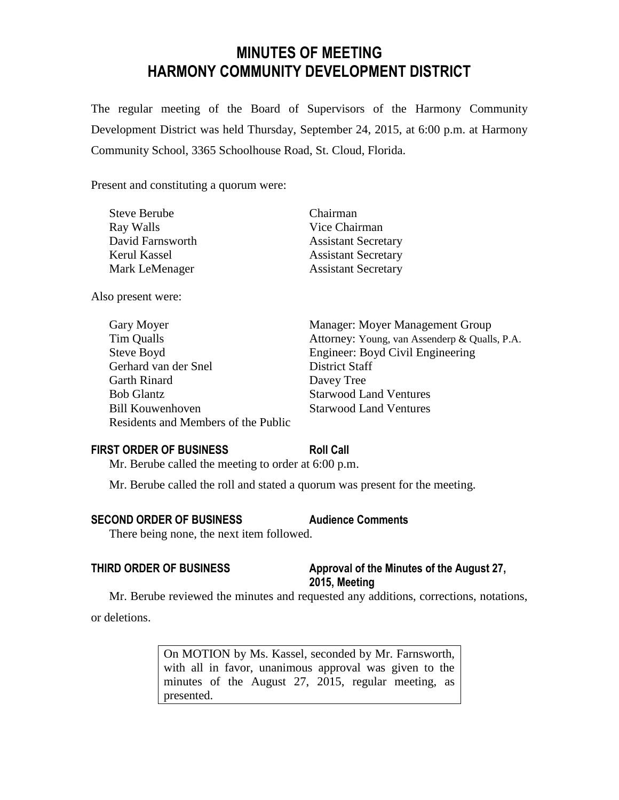# **MINUTES OF MEETING HARMONY COMMUNITY DEVELOPMENT DISTRICT**

The regular meeting of the Board of Supervisors of the Harmony Community Development District was held Thursday, September 24, 2015, at 6:00 p.m. at Harmony Community School, 3365 Schoolhouse Road, St. Cloud, Florida.

Present and constituting a quorum were:

| <b>Steve Berube</b> | Chairman                   |
|---------------------|----------------------------|
| Ray Walls           | Vice Chairman              |
| David Farnsworth    | <b>Assistant Secretary</b> |
| Kerul Kassel        | <b>Assistant Secretary</b> |
| Mark LeMenager      | <b>Assistant Secretary</b> |

Also present were:

| Gary Moyer                          | Manager: Moyer Management Group               |
|-------------------------------------|-----------------------------------------------|
| Tim Qualls                          | Attorney: Young, van Assenderp & Qualls, P.A. |
| Steve Boyd                          | Engineer: Boyd Civil Engineering              |
| Gerhard van der Snel                | District Staff                                |
| <b>Garth Rinard</b>                 | Davey Tree                                    |
| <b>Bob Glantz</b>                   | <b>Starwood Land Ventures</b>                 |
| <b>Bill Kouwenhoven</b>             | <b>Starwood Land Ventures</b>                 |
| Residents and Members of the Public |                                               |
|                                     |                                               |

# **FIRST ORDER OF BUSINESS Roll Call**

Mr. Berube called the meeting to order at 6:00 p.m.

Mr. Berube called the roll and stated a quorum was present for the meeting.

# **SECOND ORDER OF BUSINESS Audience Comments**

There being none, the next item followed.

# **THIRD ORDER OF BUSINESS Approval of the Minutes of the August 27, 2015, Meeting**

Mr. Berube reviewed the minutes and requested any additions, corrections, notations, or deletions.

> On MOTION by Ms. Kassel, seconded by Mr. Farnsworth, with all in favor, unanimous approval was given to the minutes of the August 27, 2015, regular meeting, as presented.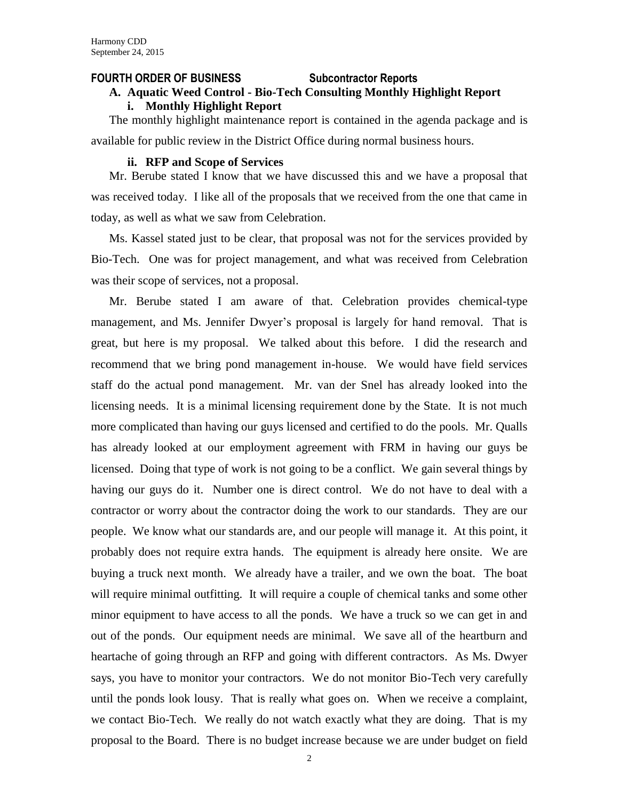#### **FOURTH ORDER OF BUSINESS Subcontractor Reports**

# **A. Aquatic Weed Control - Bio-Tech Consulting Monthly Highlight Report i. Monthly Highlight Report**

The monthly highlight maintenance report is contained in the agenda package and is available for public review in the District Office during normal business hours.

#### **ii. RFP and Scope of Services**

Mr. Berube stated I know that we have discussed this and we have a proposal that was received today. I like all of the proposals that we received from the one that came in today, as well as what we saw from Celebration.

Ms. Kassel stated just to be clear, that proposal was not for the services provided by Bio-Tech. One was for project management, and what was received from Celebration was their scope of services, not a proposal.

Mr. Berube stated I am aware of that. Celebration provides chemical-type management, and Ms. Jennifer Dwyer's proposal is largely for hand removal. That is great, but here is my proposal. We talked about this before. I did the research and recommend that we bring pond management in-house. We would have field services staff do the actual pond management. Mr. van der Snel has already looked into the licensing needs. It is a minimal licensing requirement done by the State. It is not much more complicated than having our guys licensed and certified to do the pools. Mr. Qualls has already looked at our employment agreement with FRM in having our guys be licensed. Doing that type of work is not going to be a conflict. We gain several things by having our guys do it. Number one is direct control. We do not have to deal with a contractor or worry about the contractor doing the work to our standards. They are our people. We know what our standards are, and our people will manage it. At this point, it probably does not require extra hands. The equipment is already here onsite. We are buying a truck next month. We already have a trailer, and we own the boat. The boat will require minimal outfitting. It will require a couple of chemical tanks and some other minor equipment to have access to all the ponds. We have a truck so we can get in and out of the ponds. Our equipment needs are minimal. We save all of the heartburn and heartache of going through an RFP and going with different contractors. As Ms. Dwyer says, you have to monitor your contractors. We do not monitor Bio-Tech very carefully until the ponds look lousy. That is really what goes on. When we receive a complaint, we contact Bio-Tech. We really do not watch exactly what they are doing. That is my proposal to the Board. There is no budget increase because we are under budget on field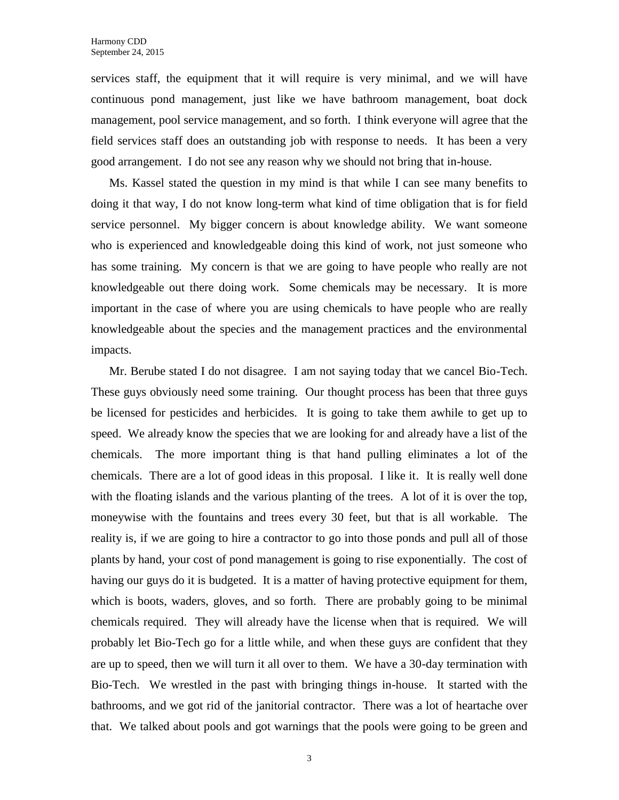services staff, the equipment that it will require is very minimal, and we will have continuous pond management, just like we have bathroom management, boat dock management, pool service management, and so forth. I think everyone will agree that the field services staff does an outstanding job with response to needs. It has been a very good arrangement. I do not see any reason why we should not bring that in-house.

Ms. Kassel stated the question in my mind is that while I can see many benefits to doing it that way, I do not know long-term what kind of time obligation that is for field service personnel. My bigger concern is about knowledge ability. We want someone who is experienced and knowledgeable doing this kind of work, not just someone who has some training. My concern is that we are going to have people who really are not knowledgeable out there doing work. Some chemicals may be necessary. It is more important in the case of where you are using chemicals to have people who are really knowledgeable about the species and the management practices and the environmental impacts.

Mr. Berube stated I do not disagree. I am not saying today that we cancel Bio-Tech. These guys obviously need some training. Our thought process has been that three guys be licensed for pesticides and herbicides. It is going to take them awhile to get up to speed. We already know the species that we are looking for and already have a list of the chemicals. The more important thing is that hand pulling eliminates a lot of the chemicals. There are a lot of good ideas in this proposal. I like it. It is really well done with the floating islands and the various planting of the trees. A lot of it is over the top, moneywise with the fountains and trees every 30 feet, but that is all workable. The reality is, if we are going to hire a contractor to go into those ponds and pull all of those plants by hand, your cost of pond management is going to rise exponentially. The cost of having our guys do it is budgeted. It is a matter of having protective equipment for them, which is boots, waders, gloves, and so forth. There are probably going to be minimal chemicals required. They will already have the license when that is required. We will probably let Bio-Tech go for a little while, and when these guys are confident that they are up to speed, then we will turn it all over to them. We have a 30-day termination with Bio-Tech. We wrestled in the past with bringing things in-house. It started with the bathrooms, and we got rid of the janitorial contractor. There was a lot of heartache over that. We talked about pools and got warnings that the pools were going to be green and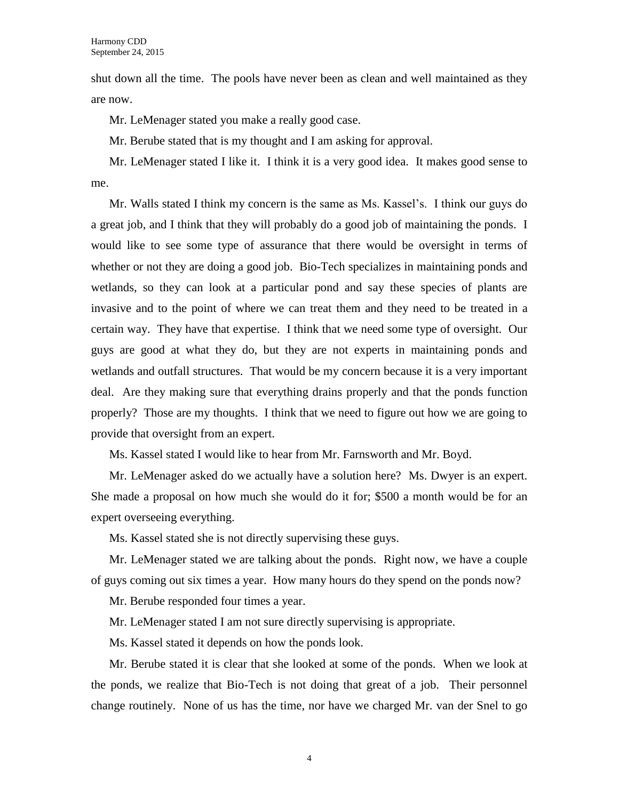shut down all the time. The pools have never been as clean and well maintained as they are now.

Mr. LeMenager stated you make a really good case.

Mr. Berube stated that is my thought and I am asking for approval.

Mr. LeMenager stated I like it. I think it is a very good idea. It makes good sense to me.

Mr. Walls stated I think my concern is the same as Ms. Kassel's. I think our guys do a great job, and I think that they will probably do a good job of maintaining the ponds. I would like to see some type of assurance that there would be oversight in terms of whether or not they are doing a good job. Bio-Tech specializes in maintaining ponds and wetlands, so they can look at a particular pond and say these species of plants are invasive and to the point of where we can treat them and they need to be treated in a certain way. They have that expertise. I think that we need some type of oversight. Our guys are good at what they do, but they are not experts in maintaining ponds and wetlands and outfall structures. That would be my concern because it is a very important deal. Are they making sure that everything drains properly and that the ponds function properly? Those are my thoughts. I think that we need to figure out how we are going to provide that oversight from an expert.

Ms. Kassel stated I would like to hear from Mr. Farnsworth and Mr. Boyd.

Mr. LeMenager asked do we actually have a solution here? Ms. Dwyer is an expert. She made a proposal on how much she would do it for; \$500 a month would be for an expert overseeing everything.

Ms. Kassel stated she is not directly supervising these guys.

Mr. LeMenager stated we are talking about the ponds. Right now, we have a couple of guys coming out six times a year. How many hours do they spend on the ponds now?

Mr. Berube responded four times a year.

Mr. LeMenager stated I am not sure directly supervising is appropriate.

Ms. Kassel stated it depends on how the ponds look.

Mr. Berube stated it is clear that she looked at some of the ponds. When we look at the ponds, we realize that Bio-Tech is not doing that great of a job. Their personnel change routinely. None of us has the time, nor have we charged Mr. van der Snel to go

4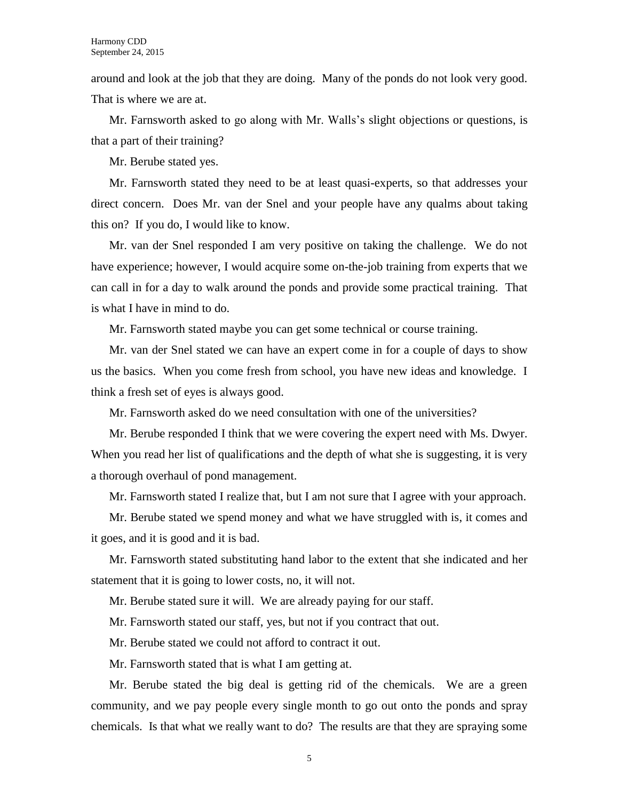around and look at the job that they are doing. Many of the ponds do not look very good. That is where we are at.

Mr. Farnsworth asked to go along with Mr. Walls's slight objections or questions, is that a part of their training?

Mr. Berube stated yes.

Mr. Farnsworth stated they need to be at least quasi-experts, so that addresses your direct concern. Does Mr. van der Snel and your people have any qualms about taking this on? If you do, I would like to know.

Mr. van der Snel responded I am very positive on taking the challenge. We do not have experience; however, I would acquire some on-the-job training from experts that we can call in for a day to walk around the ponds and provide some practical training. That is what I have in mind to do.

Mr. Farnsworth stated maybe you can get some technical or course training.

Mr. van der Snel stated we can have an expert come in for a couple of days to show us the basics. When you come fresh from school, you have new ideas and knowledge. I think a fresh set of eyes is always good.

Mr. Farnsworth asked do we need consultation with one of the universities?

Mr. Berube responded I think that we were covering the expert need with Ms. Dwyer. When you read her list of qualifications and the depth of what she is suggesting, it is very a thorough overhaul of pond management.

Mr. Farnsworth stated I realize that, but I am not sure that I agree with your approach.

Mr. Berube stated we spend money and what we have struggled with is, it comes and it goes, and it is good and it is bad.

Mr. Farnsworth stated substituting hand labor to the extent that she indicated and her statement that it is going to lower costs, no, it will not.

Mr. Berube stated sure it will. We are already paying for our staff.

Mr. Farnsworth stated our staff, yes, but not if you contract that out.

Mr. Berube stated we could not afford to contract it out.

Mr. Farnsworth stated that is what I am getting at.

Mr. Berube stated the big deal is getting rid of the chemicals. We are a green community, and we pay people every single month to go out onto the ponds and spray chemicals. Is that what we really want to do? The results are that they are spraying some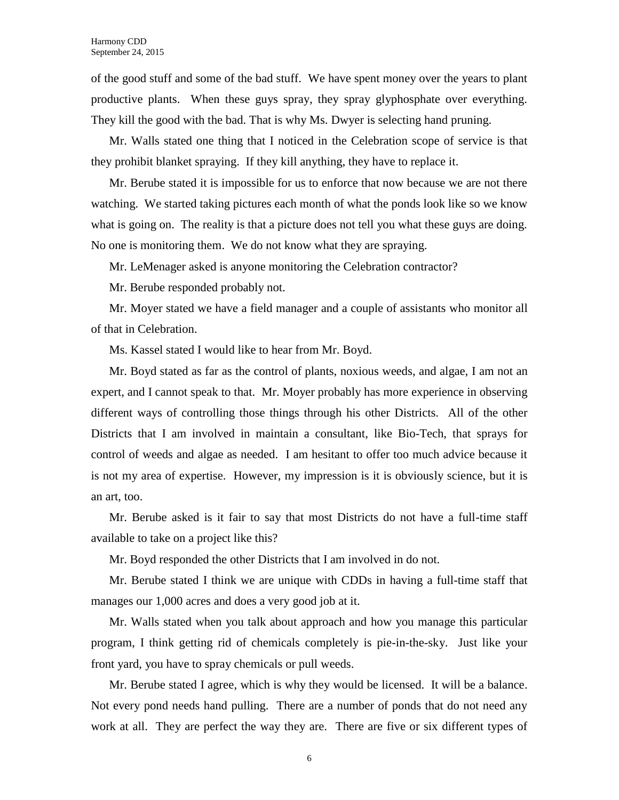of the good stuff and some of the bad stuff. We have spent money over the years to plant productive plants. When these guys spray, they spray glyphosphate over everything. They kill the good with the bad. That is why Ms. Dwyer is selecting hand pruning.

Mr. Walls stated one thing that I noticed in the Celebration scope of service is that they prohibit blanket spraying. If they kill anything, they have to replace it.

Mr. Berube stated it is impossible for us to enforce that now because we are not there watching. We started taking pictures each month of what the ponds look like so we know what is going on. The reality is that a picture does not tell you what these guys are doing. No one is monitoring them. We do not know what they are spraying.

Mr. LeMenager asked is anyone monitoring the Celebration contractor?

Mr. Berube responded probably not.

Mr. Moyer stated we have a field manager and a couple of assistants who monitor all of that in Celebration.

Ms. Kassel stated I would like to hear from Mr. Boyd.

Mr. Boyd stated as far as the control of plants, noxious weeds, and algae, I am not an expert, and I cannot speak to that. Mr. Moyer probably has more experience in observing different ways of controlling those things through his other Districts. All of the other Districts that I am involved in maintain a consultant, like Bio-Tech, that sprays for control of weeds and algae as needed. I am hesitant to offer too much advice because it is not my area of expertise. However, my impression is it is obviously science, but it is an art, too.

Mr. Berube asked is it fair to say that most Districts do not have a full-time staff available to take on a project like this?

Mr. Boyd responded the other Districts that I am involved in do not.

Mr. Berube stated I think we are unique with CDDs in having a full-time staff that manages our 1,000 acres and does a very good job at it.

Mr. Walls stated when you talk about approach and how you manage this particular program, I think getting rid of chemicals completely is pie-in-the-sky. Just like your front yard, you have to spray chemicals or pull weeds.

Mr. Berube stated I agree, which is why they would be licensed. It will be a balance. Not every pond needs hand pulling. There are a number of ponds that do not need any work at all. They are perfect the way they are. There are five or six different types of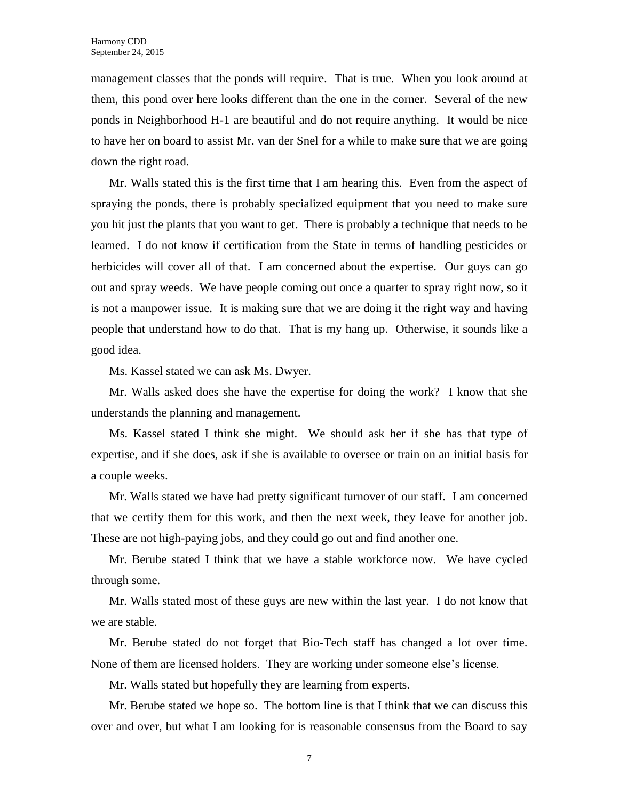management classes that the ponds will require. That is true. When you look around at them, this pond over here looks different than the one in the corner. Several of the new ponds in Neighborhood H-1 are beautiful and do not require anything. It would be nice to have her on board to assist Mr. van der Snel for a while to make sure that we are going down the right road.

Mr. Walls stated this is the first time that I am hearing this. Even from the aspect of spraying the ponds, there is probably specialized equipment that you need to make sure you hit just the plants that you want to get. There is probably a technique that needs to be learned. I do not know if certification from the State in terms of handling pesticides or herbicides will cover all of that. I am concerned about the expertise. Our guys can go out and spray weeds. We have people coming out once a quarter to spray right now, so it is not a manpower issue. It is making sure that we are doing it the right way and having people that understand how to do that. That is my hang up. Otherwise, it sounds like a good idea.

Ms. Kassel stated we can ask Ms. Dwyer.

Mr. Walls asked does she have the expertise for doing the work? I know that she understands the planning and management.

Ms. Kassel stated I think she might. We should ask her if she has that type of expertise, and if she does, ask if she is available to oversee or train on an initial basis for a couple weeks.

Mr. Walls stated we have had pretty significant turnover of our staff. I am concerned that we certify them for this work, and then the next week, they leave for another job. These are not high-paying jobs, and they could go out and find another one.

Mr. Berube stated I think that we have a stable workforce now. We have cycled through some.

Mr. Walls stated most of these guys are new within the last year. I do not know that we are stable.

Mr. Berube stated do not forget that Bio-Tech staff has changed a lot over time. None of them are licensed holders. They are working under someone else's license.

Mr. Walls stated but hopefully they are learning from experts.

Mr. Berube stated we hope so. The bottom line is that I think that we can discuss this over and over, but what I am looking for is reasonable consensus from the Board to say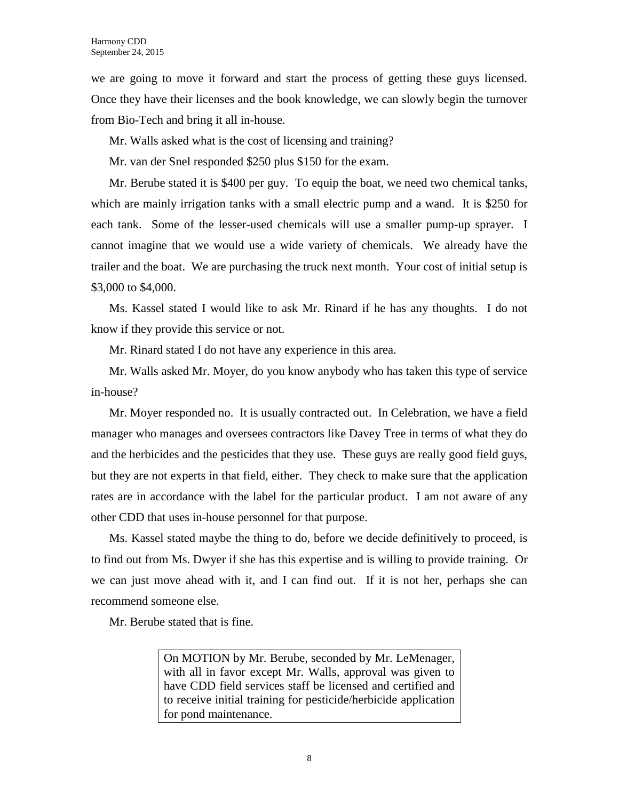we are going to move it forward and start the process of getting these guys licensed. Once they have their licenses and the book knowledge, we can slowly begin the turnover from Bio-Tech and bring it all in-house.

Mr. Walls asked what is the cost of licensing and training?

Mr. van der Snel responded \$250 plus \$150 for the exam.

Mr. Berube stated it is \$400 per guy. To equip the boat, we need two chemical tanks, which are mainly irrigation tanks with a small electric pump and a wand. It is \$250 for each tank. Some of the lesser-used chemicals will use a smaller pump-up sprayer. I cannot imagine that we would use a wide variety of chemicals. We already have the trailer and the boat. We are purchasing the truck next month. Your cost of initial setup is \$3,000 to \$4,000.

Ms. Kassel stated I would like to ask Mr. Rinard if he has any thoughts. I do not know if they provide this service or not.

Mr. Rinard stated I do not have any experience in this area.

Mr. Walls asked Mr. Moyer, do you know anybody who has taken this type of service in-house?

Mr. Moyer responded no. It is usually contracted out. In Celebration, we have a field manager who manages and oversees contractors like Davey Tree in terms of what they do and the herbicides and the pesticides that they use. These guys are really good field guys, but they are not experts in that field, either. They check to make sure that the application rates are in accordance with the label for the particular product. I am not aware of any other CDD that uses in-house personnel for that purpose.

Ms. Kassel stated maybe the thing to do, before we decide definitively to proceed, is to find out from Ms. Dwyer if she has this expertise and is willing to provide training. Or we can just move ahead with it, and I can find out. If it is not her, perhaps she can recommend someone else.

Mr. Berube stated that is fine.

On MOTION by Mr. Berube, seconded by Mr. LeMenager, with all in favor except Mr. Walls, approval was given to have CDD field services staff be licensed and certified and to receive initial training for pesticide/herbicide application for pond maintenance.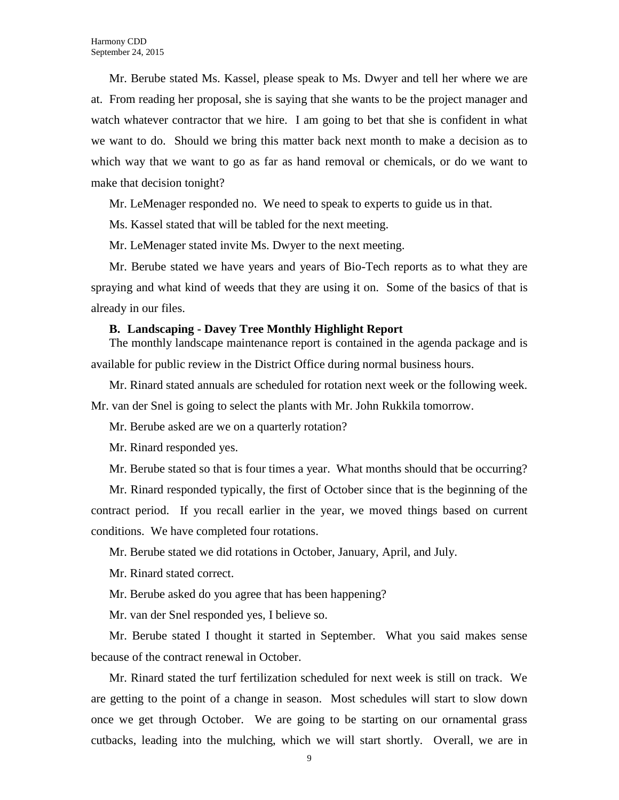Mr. Berube stated Ms. Kassel, please speak to Ms. Dwyer and tell her where we are at. From reading her proposal, she is saying that she wants to be the project manager and watch whatever contractor that we hire. I am going to bet that she is confident in what we want to do. Should we bring this matter back next month to make a decision as to which way that we want to go as far as hand removal or chemicals, or do we want to make that decision tonight?

Mr. LeMenager responded no. We need to speak to experts to guide us in that.

Ms. Kassel stated that will be tabled for the next meeting.

Mr. LeMenager stated invite Ms. Dwyer to the next meeting.

Mr. Berube stated we have years and years of Bio-Tech reports as to what they are spraying and what kind of weeds that they are using it on. Some of the basics of that is already in our files.

#### **B. Landscaping - Davey Tree Monthly Highlight Report**

The monthly landscape maintenance report is contained in the agenda package and is available for public review in the District Office during normal business hours.

Mr. Rinard stated annuals are scheduled for rotation next week or the following week.

Mr. van der Snel is going to select the plants with Mr. John Rukkila tomorrow.

Mr. Berube asked are we on a quarterly rotation?

Mr. Rinard responded yes.

Mr. Berube stated so that is four times a year. What months should that be occurring?

Mr. Rinard responded typically, the first of October since that is the beginning of the contract period. If you recall earlier in the year, we moved things based on current conditions. We have completed four rotations.

Mr. Berube stated we did rotations in October, January, April, and July.

Mr. Rinard stated correct.

Mr. Berube asked do you agree that has been happening?

Mr. van der Snel responded yes, I believe so.

Mr. Berube stated I thought it started in September. What you said makes sense because of the contract renewal in October.

Mr. Rinard stated the turf fertilization scheduled for next week is still on track. We are getting to the point of a change in season. Most schedules will start to slow down once we get through October. We are going to be starting on our ornamental grass cutbacks, leading into the mulching, which we will start shortly. Overall, we are in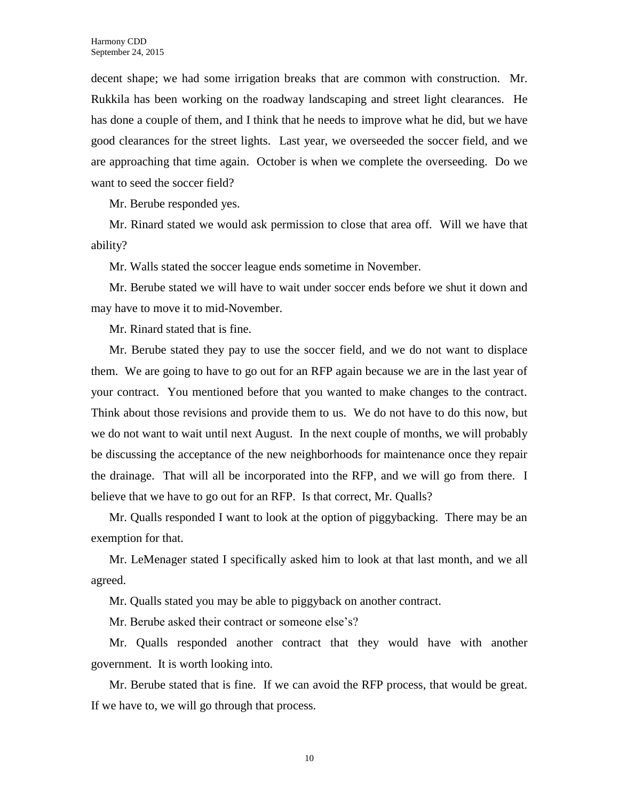decent shape; we had some irrigation breaks that are common with construction. Mr. Rukkila has been working on the roadway landscaping and street light clearances. He has done a couple of them, and I think that he needs to improve what he did, but we have good clearances for the street lights. Last year, we overseeded the soccer field, and we are approaching that time again. October is when we complete the overseeding. Do we want to seed the soccer field?

Mr. Berube responded yes.

Mr. Rinard stated we would ask permission to close that area off. Will we have that ability?

Mr. Walls stated the soccer league ends sometime in November.

Mr. Berube stated we will have to wait under soccer ends before we shut it down and may have to move it to mid-November.

Mr. Rinard stated that is fine.

Mr. Berube stated they pay to use the soccer field, and we do not want to displace them. We are going to have to go out for an RFP again because we are in the last year of your contract. You mentioned before that you wanted to make changes to the contract. Think about those revisions and provide them to us. We do not have to do this now, but we do not want to wait until next August. In the next couple of months, we will probably be discussing the acceptance of the new neighborhoods for maintenance once they repair the drainage. That will all be incorporated into the RFP, and we will go from there. I believe that we have to go out for an RFP. Is that correct, Mr. Qualls?

Mr. Qualls responded I want to look at the option of piggybacking. There may be an exemption for that.

Mr. LeMenager stated I specifically asked him to look at that last month, and we all agreed.

Mr. Qualls stated you may be able to piggyback on another contract.

Mr. Berube asked their contract or someone else's?

Mr. Qualls responded another contract that they would have with another government. It is worth looking into.

Mr. Berube stated that is fine. If we can avoid the RFP process, that would be great. If we have to, we will go through that process.

10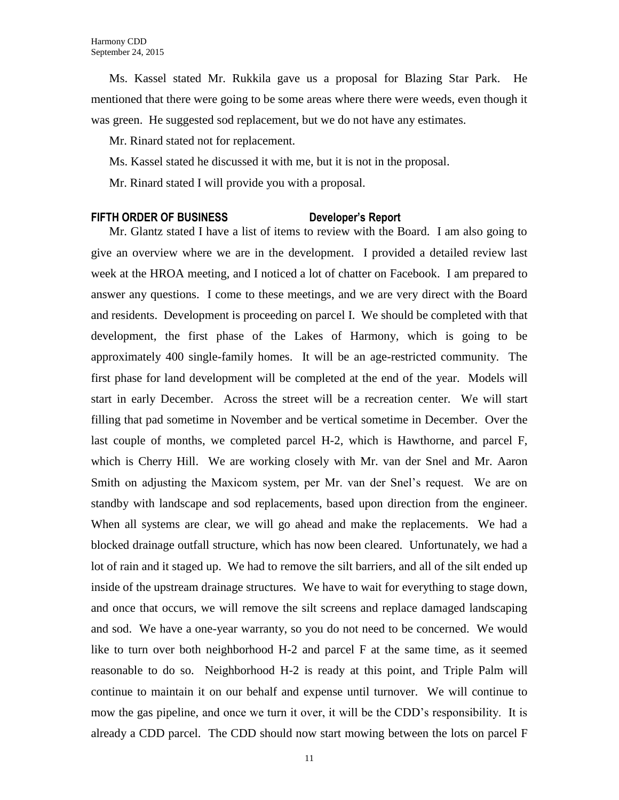Ms. Kassel stated Mr. Rukkila gave us a proposal for Blazing Star Park. He mentioned that there were going to be some areas where there were weeds, even though it was green. He suggested sod replacement, but we do not have any estimates.

Mr. Rinard stated not for replacement.

Ms. Kassel stated he discussed it with me, but it is not in the proposal.

Mr. Rinard stated I will provide you with a proposal.

### **FIFTH ORDER OF BUSINESS Developer's Report**

Mr. Glantz stated I have a list of items to review with the Board. I am also going to give an overview where we are in the development. I provided a detailed review last week at the HROA meeting, and I noticed a lot of chatter on Facebook. I am prepared to answer any questions. I come to these meetings, and we are very direct with the Board and residents. Development is proceeding on parcel I. We should be completed with that development, the first phase of the Lakes of Harmony, which is going to be approximately 400 single-family homes. It will be an age-restricted community. The first phase for land development will be completed at the end of the year. Models will start in early December. Across the street will be a recreation center. We will start filling that pad sometime in November and be vertical sometime in December. Over the last couple of months, we completed parcel H-2, which is Hawthorne, and parcel F, which is Cherry Hill. We are working closely with Mr. van der Snel and Mr. Aaron Smith on adjusting the Maxicom system, per Mr. van der Snel's request. We are on standby with landscape and sod replacements, based upon direction from the engineer. When all systems are clear, we will go ahead and make the replacements. We had a blocked drainage outfall structure, which has now been cleared. Unfortunately, we had a lot of rain and it staged up. We had to remove the silt barriers, and all of the silt ended up inside of the upstream drainage structures. We have to wait for everything to stage down, and once that occurs, we will remove the silt screens and replace damaged landscaping and sod. We have a one-year warranty, so you do not need to be concerned. We would like to turn over both neighborhood H-2 and parcel F at the same time, as it seemed reasonable to do so. Neighborhood H-2 is ready at this point, and Triple Palm will continue to maintain it on our behalf and expense until turnover. We will continue to mow the gas pipeline, and once we turn it over, it will be the CDD's responsibility. It is already a CDD parcel. The CDD should now start mowing between the lots on parcel F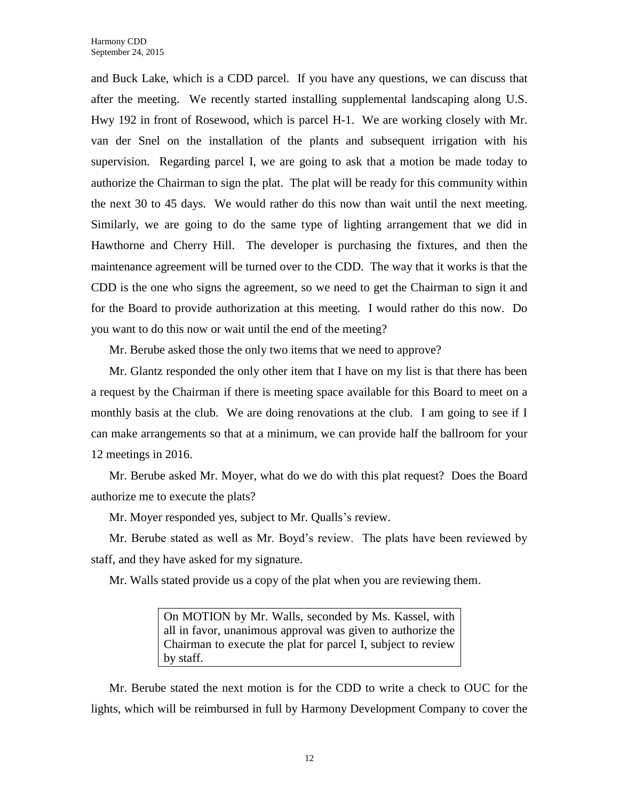and Buck Lake, which is a CDD parcel. If you have any questions, we can discuss that after the meeting. We recently started installing supplemental landscaping along U.S. Hwy 192 in front of Rosewood, which is parcel H-1. We are working closely with Mr. van der Snel on the installation of the plants and subsequent irrigation with his supervision. Regarding parcel I, we are going to ask that a motion be made today to authorize the Chairman to sign the plat. The plat will be ready for this community within the next 30 to 45 days. We would rather do this now than wait until the next meeting. Similarly, we are going to do the same type of lighting arrangement that we did in Hawthorne and Cherry Hill. The developer is purchasing the fixtures, and then the maintenance agreement will be turned over to the CDD. The way that it works is that the CDD is the one who signs the agreement, so we need to get the Chairman to sign it and for the Board to provide authorization at this meeting. I would rather do this now. Do you want to do this now or wait until the end of the meeting?

Mr. Berube asked those the only two items that we need to approve?

Mr. Glantz responded the only other item that I have on my list is that there has been a request by the Chairman if there is meeting space available for this Board to meet on a monthly basis at the club. We are doing renovations at the club. I am going to see if I can make arrangements so that at a minimum, we can provide half the ballroom for your 12 meetings in 2016.

Mr. Berube asked Mr. Moyer, what do we do with this plat request? Does the Board authorize me to execute the plats?

Mr. Moyer responded yes, subject to Mr. Qualls's review.

Mr. Berube stated as well as Mr. Boyd's review. The plats have been reviewed by staff, and they have asked for my signature.

Mr. Walls stated provide us a copy of the plat when you are reviewing them.

On MOTION by Mr. Walls, seconded by Ms. Kassel, with all in favor, unanimous approval was given to authorize the Chairman to execute the plat for parcel I, subject to review by staff.

Mr. Berube stated the next motion is for the CDD to write a check to OUC for the lights, which will be reimbursed in full by Harmony Development Company to cover the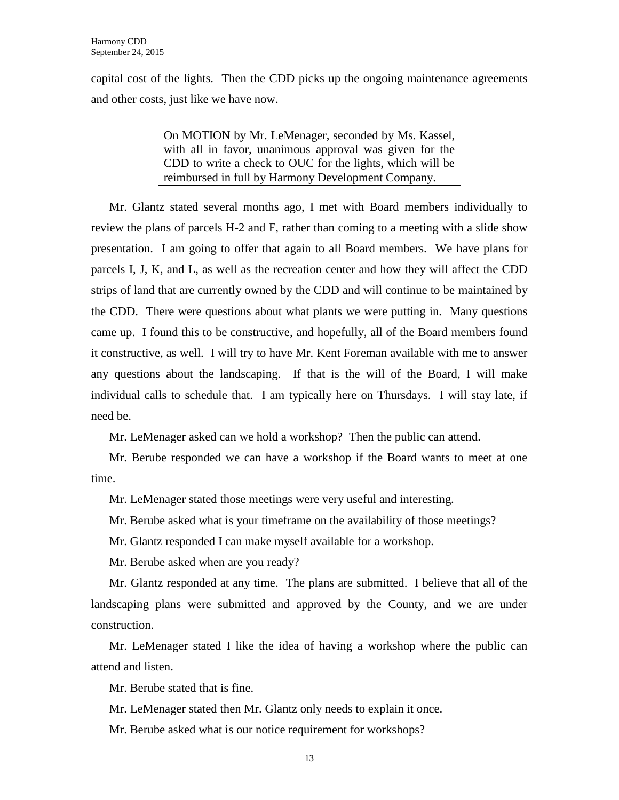capital cost of the lights. Then the CDD picks up the ongoing maintenance agreements and other costs, just like we have now.

> On MOTION by Mr. LeMenager, seconded by Ms. Kassel, with all in favor, unanimous approval was given for the CDD to write a check to OUC for the lights, which will be reimbursed in full by Harmony Development Company.

Mr. Glantz stated several months ago, I met with Board members individually to review the plans of parcels H-2 and F, rather than coming to a meeting with a slide show presentation. I am going to offer that again to all Board members. We have plans for parcels I, J, K, and L, as well as the recreation center and how they will affect the CDD strips of land that are currently owned by the CDD and will continue to be maintained by the CDD. There were questions about what plants we were putting in. Many questions came up. I found this to be constructive, and hopefully, all of the Board members found it constructive, as well. I will try to have Mr. Kent Foreman available with me to answer any questions about the landscaping. If that is the will of the Board, I will make individual calls to schedule that. I am typically here on Thursdays. I will stay late, if need be.

Mr. LeMenager asked can we hold a workshop? Then the public can attend.

Mr. Berube responded we can have a workshop if the Board wants to meet at one time.

Mr. LeMenager stated those meetings were very useful and interesting.

Mr. Berube asked what is your timeframe on the availability of those meetings?

Mr. Glantz responded I can make myself available for a workshop.

Mr. Berube asked when are you ready?

Mr. Glantz responded at any time. The plans are submitted. I believe that all of the landscaping plans were submitted and approved by the County, and we are under construction.

Mr. LeMenager stated I like the idea of having a workshop where the public can attend and listen.

Mr. Berube stated that is fine.

Mr. LeMenager stated then Mr. Glantz only needs to explain it once.

Mr. Berube asked what is our notice requirement for workshops?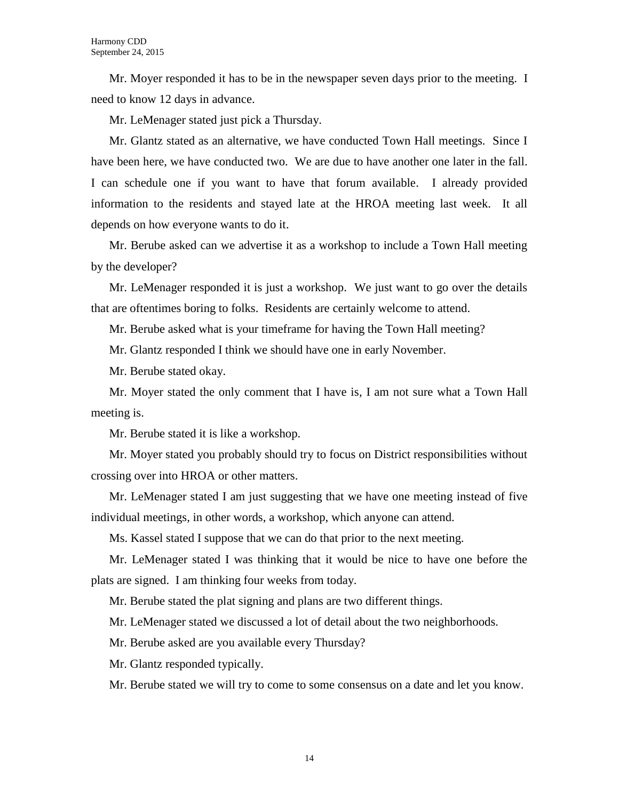Mr. Moyer responded it has to be in the newspaper seven days prior to the meeting. I need to know 12 days in advance.

Mr. LeMenager stated just pick a Thursday.

Mr. Glantz stated as an alternative, we have conducted Town Hall meetings. Since I have been here, we have conducted two. We are due to have another one later in the fall. I can schedule one if you want to have that forum available. I already provided information to the residents and stayed late at the HROA meeting last week. It all depends on how everyone wants to do it.

Mr. Berube asked can we advertise it as a workshop to include a Town Hall meeting by the developer?

Mr. LeMenager responded it is just a workshop. We just want to go over the details that are oftentimes boring to folks. Residents are certainly welcome to attend.

Mr. Berube asked what is your timeframe for having the Town Hall meeting?

Mr. Glantz responded I think we should have one in early November.

Mr. Berube stated okay.

Mr. Moyer stated the only comment that I have is, I am not sure what a Town Hall meeting is.

Mr. Berube stated it is like a workshop.

Mr. Moyer stated you probably should try to focus on District responsibilities without crossing over into HROA or other matters.

Mr. LeMenager stated I am just suggesting that we have one meeting instead of five individual meetings, in other words, a workshop, which anyone can attend.

Ms. Kassel stated I suppose that we can do that prior to the next meeting.

Mr. LeMenager stated I was thinking that it would be nice to have one before the plats are signed. I am thinking four weeks from today.

Mr. Berube stated the plat signing and plans are two different things.

Mr. LeMenager stated we discussed a lot of detail about the two neighborhoods.

Mr. Berube asked are you available every Thursday?

Mr. Glantz responded typically.

Mr. Berube stated we will try to come to some consensus on a date and let you know.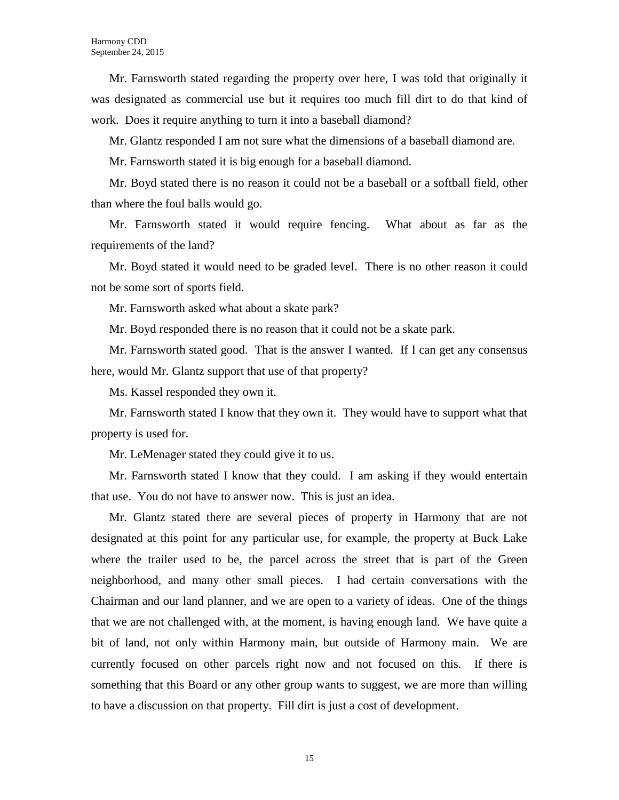Mr. Farnsworth stated regarding the property over here, I was told that originally it was designated as commercial use but it requires too much fill dirt to do that kind of work. Does it require anything to turn it into a baseball diamond?

Mr. Glantz responded I am not sure what the dimensions of a baseball diamond are.

Mr. Farnsworth stated it is big enough for a baseball diamond.

Mr. Boyd stated there is no reason it could not be a baseball or a softball field, other than where the foul balls would go.

Mr. Farnsworth stated it would require fencing. What about as far as the requirements of the land?

Mr. Boyd stated it would need to be graded level. There is no other reason it could not be some sort of sports field.

Mr. Farnsworth asked what about a skate park?

Mr. Boyd responded there is no reason that it could not be a skate park.

Mr. Farnsworth stated good. That is the answer I wanted. If I can get any consensus here, would Mr. Glantz support that use of that property?

Ms. Kassel responded they own it.

Mr. Farnsworth stated I know that they own it. They would have to support what that property is used for.

Mr. LeMenager stated they could give it to us.

Mr. Farnsworth stated I know that they could. I am asking if they would entertain that use. You do not have to answer now. This is just an idea.

Mr. Glantz stated there are several pieces of property in Harmony that are not designated at this point for any particular use, for example, the property at Buck Lake where the trailer used to be, the parcel across the street that is part of the Green neighborhood, and many other small pieces. I had certain conversations with the Chairman and our land planner, and we are open to a variety of ideas. One of the things that we are not challenged with, at the moment, is having enough land. We have quite a bit of land, not only within Harmony main, but outside of Harmony main. We are currently focused on other parcels right now and not focused on this. If there is something that this Board or any other group wants to suggest, we are more than willing to have a discussion on that property. Fill dirt is just a cost of development.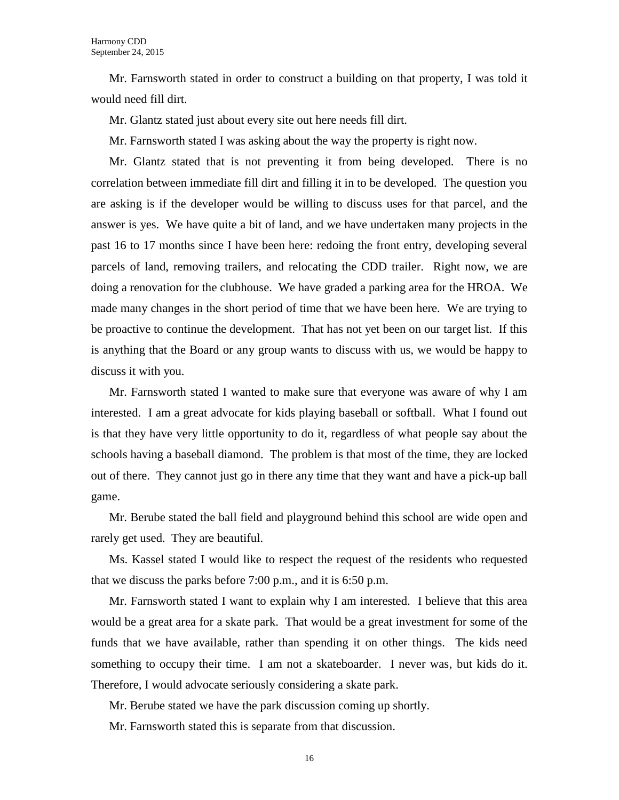Mr. Farnsworth stated in order to construct a building on that property, I was told it would need fill dirt.

Mr. Glantz stated just about every site out here needs fill dirt.

Mr. Farnsworth stated I was asking about the way the property is right now.

Mr. Glantz stated that is not preventing it from being developed. There is no correlation between immediate fill dirt and filling it in to be developed. The question you are asking is if the developer would be willing to discuss uses for that parcel, and the answer is yes. We have quite a bit of land, and we have undertaken many projects in the past 16 to 17 months since I have been here: redoing the front entry, developing several parcels of land, removing trailers, and relocating the CDD trailer. Right now, we are doing a renovation for the clubhouse. We have graded a parking area for the HROA. We made many changes in the short period of time that we have been here. We are trying to be proactive to continue the development. That has not yet been on our target list. If this is anything that the Board or any group wants to discuss with us, we would be happy to discuss it with you.

Mr. Farnsworth stated I wanted to make sure that everyone was aware of why I am interested. I am a great advocate for kids playing baseball or softball. What I found out is that they have very little opportunity to do it, regardless of what people say about the schools having a baseball diamond. The problem is that most of the time, they are locked out of there. They cannot just go in there any time that they want and have a pick-up ball game.

Mr. Berube stated the ball field and playground behind this school are wide open and rarely get used. They are beautiful.

Ms. Kassel stated I would like to respect the request of the residents who requested that we discuss the parks before 7:00 p.m., and it is 6:50 p.m.

Mr. Farnsworth stated I want to explain why I am interested. I believe that this area would be a great area for a skate park. That would be a great investment for some of the funds that we have available, rather than spending it on other things. The kids need something to occupy their time. I am not a skateboarder. I never was, but kids do it. Therefore, I would advocate seriously considering a skate park.

Mr. Berube stated we have the park discussion coming up shortly.

Mr. Farnsworth stated this is separate from that discussion.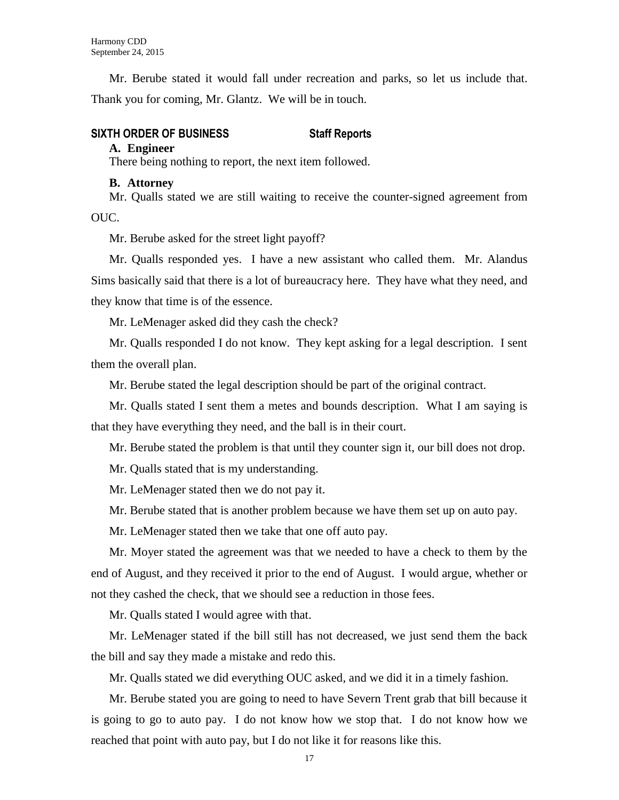Mr. Berube stated it would fall under recreation and parks, so let us include that. Thank you for coming, Mr. Glantz. We will be in touch.

# **SIXTH ORDER OF BUSINESS Staff Reports**

#### **A. Engineer**

There being nothing to report, the next item followed.

#### **B. Attorney**

Mr. Qualls stated we are still waiting to receive the counter-signed agreement from OUC.

Mr. Berube asked for the street light payoff?

Mr. Qualls responded yes. I have a new assistant who called them. Mr. Alandus Sims basically said that there is a lot of bureaucracy here. They have what they need, and they know that time is of the essence.

Mr. LeMenager asked did they cash the check?

Mr. Qualls responded I do not know. They kept asking for a legal description. I sent them the overall plan.

Mr. Berube stated the legal description should be part of the original contract.

Mr. Qualls stated I sent them a metes and bounds description. What I am saying is that they have everything they need, and the ball is in their court.

Mr. Berube stated the problem is that until they counter sign it, our bill does not drop.

Mr. Qualls stated that is my understanding.

Mr. LeMenager stated then we do not pay it.

Mr. Berube stated that is another problem because we have them set up on auto pay.

Mr. LeMenager stated then we take that one off auto pay.

Mr. Moyer stated the agreement was that we needed to have a check to them by the end of August, and they received it prior to the end of August. I would argue, whether or not they cashed the check, that we should see a reduction in those fees.

Mr. Qualls stated I would agree with that.

Mr. LeMenager stated if the bill still has not decreased, we just send them the back the bill and say they made a mistake and redo this.

Mr. Qualls stated we did everything OUC asked, and we did it in a timely fashion.

Mr. Berube stated you are going to need to have Severn Trent grab that bill because it is going to go to auto pay. I do not know how we stop that. I do not know how we reached that point with auto pay, but I do not like it for reasons like this.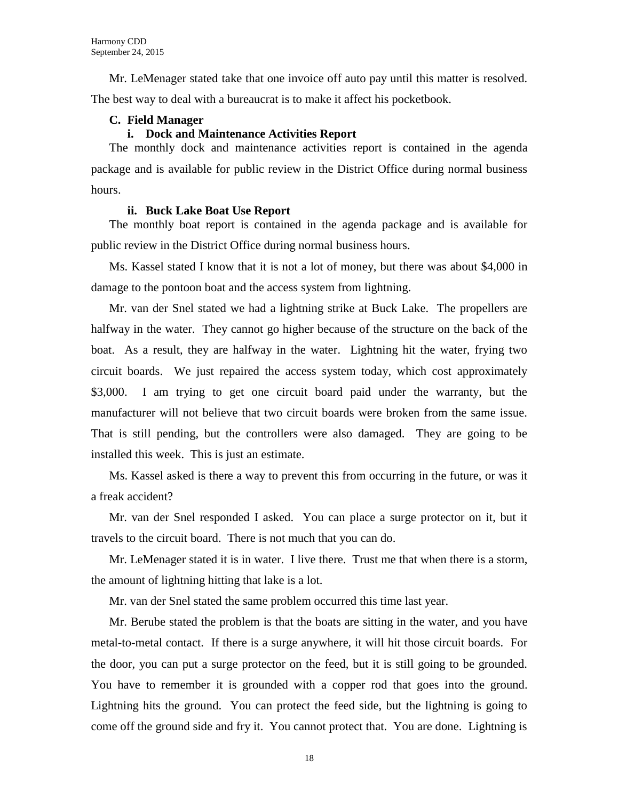Mr. LeMenager stated take that one invoice off auto pay until this matter is resolved. The best way to deal with a bureaucrat is to make it affect his pocketbook.

### **C. Field Manager**

#### **i. Dock and Maintenance Activities Report**

The monthly dock and maintenance activities report is contained in the agenda package and is available for public review in the District Office during normal business hours.

#### **ii. Buck Lake Boat Use Report**

The monthly boat report is contained in the agenda package and is available for public review in the District Office during normal business hours.

Ms. Kassel stated I know that it is not a lot of money, but there was about \$4,000 in damage to the pontoon boat and the access system from lightning.

Mr. van der Snel stated we had a lightning strike at Buck Lake. The propellers are halfway in the water. They cannot go higher because of the structure on the back of the boat. As a result, they are halfway in the water. Lightning hit the water, frying two circuit boards. We just repaired the access system today, which cost approximately \$3,000. I am trying to get one circuit board paid under the warranty, but the manufacturer will not believe that two circuit boards were broken from the same issue. That is still pending, but the controllers were also damaged. They are going to be installed this week. This is just an estimate.

Ms. Kassel asked is there a way to prevent this from occurring in the future, or was it a freak accident?

Mr. van der Snel responded I asked. You can place a surge protector on it, but it travels to the circuit board. There is not much that you can do.

Mr. LeMenager stated it is in water. I live there. Trust me that when there is a storm, the amount of lightning hitting that lake is a lot.

Mr. van der Snel stated the same problem occurred this time last year.

Mr. Berube stated the problem is that the boats are sitting in the water, and you have metal-to-metal contact. If there is a surge anywhere, it will hit those circuit boards. For the door, you can put a surge protector on the feed, but it is still going to be grounded. You have to remember it is grounded with a copper rod that goes into the ground. Lightning hits the ground. You can protect the feed side, but the lightning is going to come off the ground side and fry it. You cannot protect that. You are done. Lightning is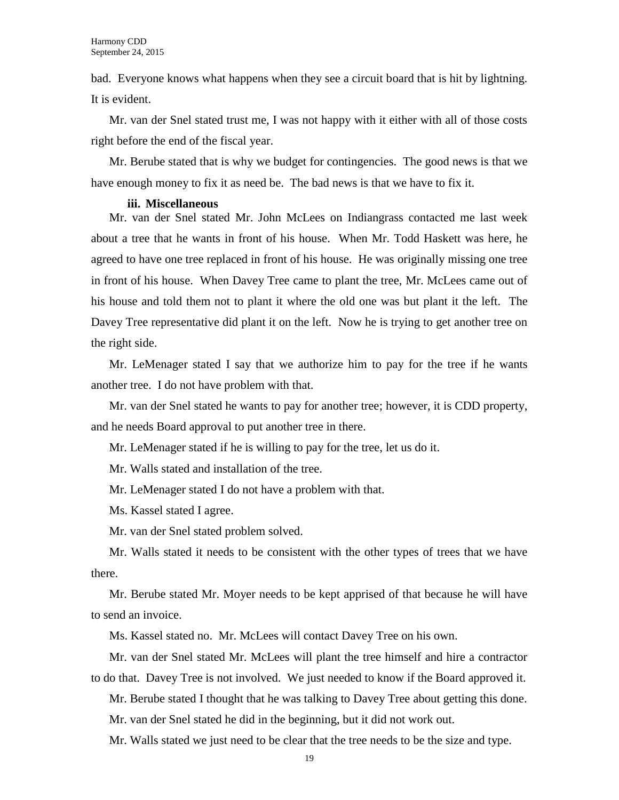bad. Everyone knows what happens when they see a circuit board that is hit by lightning. It is evident.

Mr. van der Snel stated trust me, I was not happy with it either with all of those costs right before the end of the fiscal year.

Mr. Berube stated that is why we budget for contingencies. The good news is that we have enough money to fix it as need be. The bad news is that we have to fix it.

#### **iii. Miscellaneous**

Mr. van der Snel stated Mr. John McLees on Indiangrass contacted me last week about a tree that he wants in front of his house. When Mr. Todd Haskett was here, he agreed to have one tree replaced in front of his house. He was originally missing one tree in front of his house. When Davey Tree came to plant the tree, Mr. McLees came out of his house and told them not to plant it where the old one was but plant it the left. The Davey Tree representative did plant it on the left. Now he is trying to get another tree on the right side.

Mr. LeMenager stated I say that we authorize him to pay for the tree if he wants another tree. I do not have problem with that.

Mr. van der Snel stated he wants to pay for another tree; however, it is CDD property, and he needs Board approval to put another tree in there.

Mr. LeMenager stated if he is willing to pay for the tree, let us do it.

Mr. Walls stated and installation of the tree.

Mr. LeMenager stated I do not have a problem with that.

Ms. Kassel stated I agree.

Mr. van der Snel stated problem solved.

Mr. Walls stated it needs to be consistent with the other types of trees that we have there.

Mr. Berube stated Mr. Moyer needs to be kept apprised of that because he will have to send an invoice.

Ms. Kassel stated no. Mr. McLees will contact Davey Tree on his own.

Mr. van der Snel stated Mr. McLees will plant the tree himself and hire a contractor to do that. Davey Tree is not involved. We just needed to know if the Board approved it.

Mr. Berube stated I thought that he was talking to Davey Tree about getting this done.

Mr. van der Snel stated he did in the beginning, but it did not work out.

Mr. Walls stated we just need to be clear that the tree needs to be the size and type.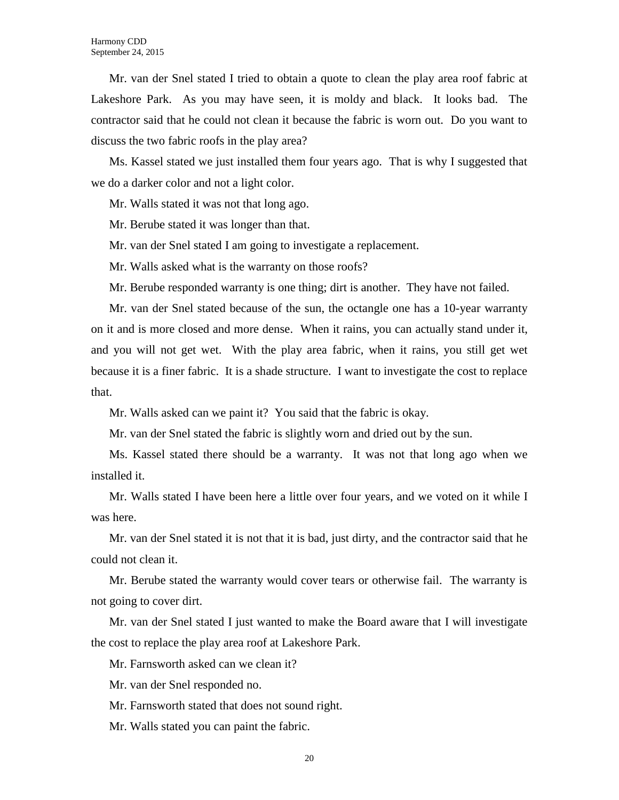Mr. van der Snel stated I tried to obtain a quote to clean the play area roof fabric at Lakeshore Park. As you may have seen, it is moldy and black. It looks bad. The contractor said that he could not clean it because the fabric is worn out. Do you want to discuss the two fabric roofs in the play area?

Ms. Kassel stated we just installed them four years ago. That is why I suggested that we do a darker color and not a light color.

Mr. Walls stated it was not that long ago.

Mr. Berube stated it was longer than that.

Mr. van der Snel stated I am going to investigate a replacement.

Mr. Walls asked what is the warranty on those roofs?

Mr. Berube responded warranty is one thing; dirt is another. They have not failed.

Mr. van der Snel stated because of the sun, the octangle one has a 10-year warranty on it and is more closed and more dense. When it rains, you can actually stand under it, and you will not get wet. With the play area fabric, when it rains, you still get wet because it is a finer fabric. It is a shade structure. I want to investigate the cost to replace that.

Mr. Walls asked can we paint it? You said that the fabric is okay.

Mr. van der Snel stated the fabric is slightly worn and dried out by the sun.

Ms. Kassel stated there should be a warranty. It was not that long ago when we installed it.

Mr. Walls stated I have been here a little over four years, and we voted on it while I was here.

Mr. van der Snel stated it is not that it is bad, just dirty, and the contractor said that he could not clean it.

Mr. Berube stated the warranty would cover tears or otherwise fail. The warranty is not going to cover dirt.

Mr. van der Snel stated I just wanted to make the Board aware that I will investigate the cost to replace the play area roof at Lakeshore Park.

Mr. Farnsworth asked can we clean it?

Mr. van der Snel responded no.

Mr. Farnsworth stated that does not sound right.

Mr. Walls stated you can paint the fabric.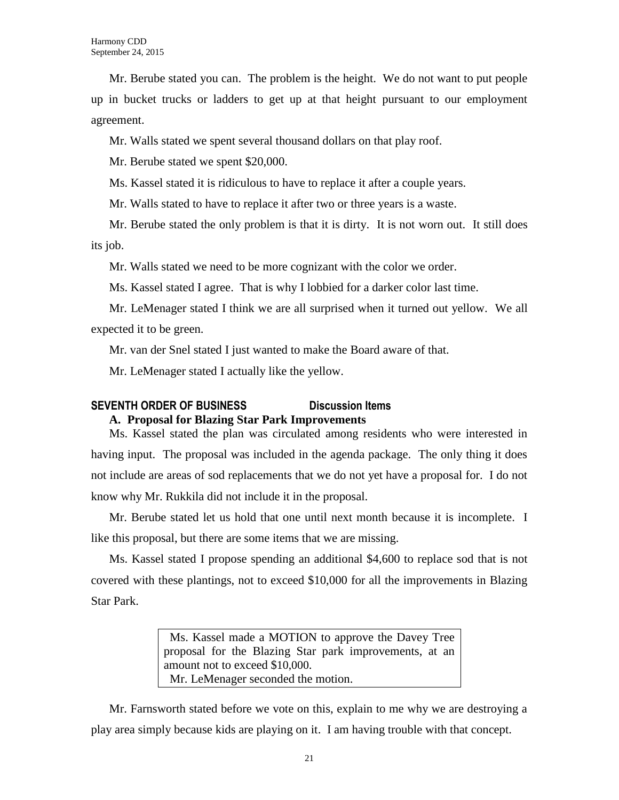Mr. Berube stated you can. The problem is the height. We do not want to put people up in bucket trucks or ladders to get up at that height pursuant to our employment agreement.

Mr. Walls stated we spent several thousand dollars on that play roof.

Mr. Berube stated we spent \$20,000.

Ms. Kassel stated it is ridiculous to have to replace it after a couple years.

Mr. Walls stated to have to replace it after two or three years is a waste.

Mr. Berube stated the only problem is that it is dirty. It is not worn out. It still does its job.

Mr. Walls stated we need to be more cognizant with the color we order.

Ms. Kassel stated I agree. That is why I lobbied for a darker color last time.

Mr. LeMenager stated I think we are all surprised when it turned out yellow. We all expected it to be green.

Mr. van der Snel stated I just wanted to make the Board aware of that.

Mr. LeMenager stated I actually like the yellow.

# **SEVENTH ORDER OF BUSINESS Discussion Items**

### **A. Proposal for Blazing Star Park Improvements**

Ms. Kassel stated the plan was circulated among residents who were interested in having input. The proposal was included in the agenda package. The only thing it does not include are areas of sod replacements that we do not yet have a proposal for. I do not know why Mr. Rukkila did not include it in the proposal.

Mr. Berube stated let us hold that one until next month because it is incomplete. I like this proposal, but there are some items that we are missing.

Ms. Kassel stated I propose spending an additional \$4,600 to replace sod that is not covered with these plantings, not to exceed \$10,000 for all the improvements in Blazing Star Park.

> Ms. Kassel made a MOTION to approve the Davey Tree proposal for the Blazing Star park improvements, at an amount not to exceed \$10,000. Mr. LeMenager seconded the motion.

Mr. Farnsworth stated before we vote on this, explain to me why we are destroying a play area simply because kids are playing on it. I am having trouble with that concept.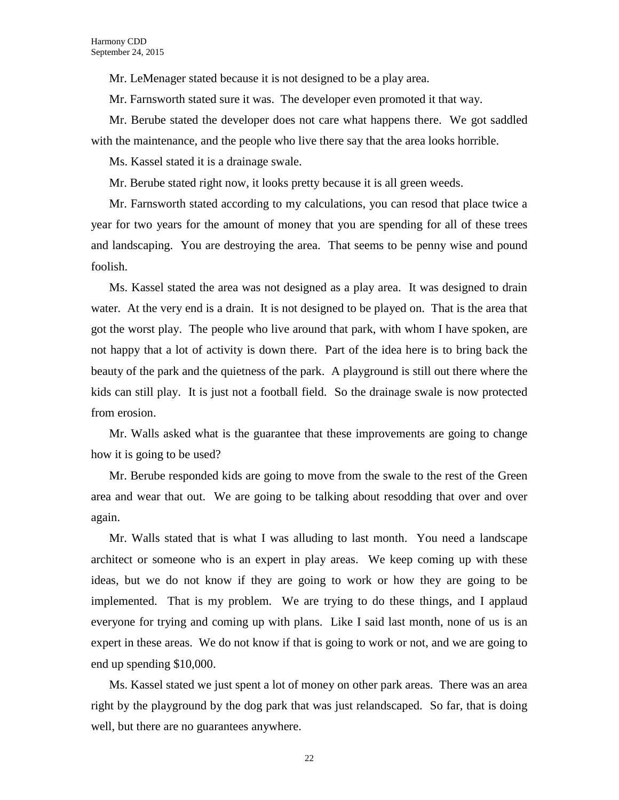Mr. LeMenager stated because it is not designed to be a play area.

Mr. Farnsworth stated sure it was. The developer even promoted it that way.

Mr. Berube stated the developer does not care what happens there. We got saddled with the maintenance, and the people who live there say that the area looks horrible.

Ms. Kassel stated it is a drainage swale.

Mr. Berube stated right now, it looks pretty because it is all green weeds.

Mr. Farnsworth stated according to my calculations, you can resod that place twice a year for two years for the amount of money that you are spending for all of these trees and landscaping. You are destroying the area. That seems to be penny wise and pound foolish.

Ms. Kassel stated the area was not designed as a play area. It was designed to drain water. At the very end is a drain. It is not designed to be played on. That is the area that got the worst play. The people who live around that park, with whom I have spoken, are not happy that a lot of activity is down there. Part of the idea here is to bring back the beauty of the park and the quietness of the park. A playground is still out there where the kids can still play. It is just not a football field. So the drainage swale is now protected from erosion.

Mr. Walls asked what is the guarantee that these improvements are going to change how it is going to be used?

Mr. Berube responded kids are going to move from the swale to the rest of the Green area and wear that out. We are going to be talking about resodding that over and over again.

Mr. Walls stated that is what I was alluding to last month. You need a landscape architect or someone who is an expert in play areas. We keep coming up with these ideas, but we do not know if they are going to work or how they are going to be implemented. That is my problem. We are trying to do these things, and I applaud everyone for trying and coming up with plans. Like I said last month, none of us is an expert in these areas. We do not know if that is going to work or not, and we are going to end up spending \$10,000.

Ms. Kassel stated we just spent a lot of money on other park areas. There was an area right by the playground by the dog park that was just relandscaped. So far, that is doing well, but there are no guarantees anywhere.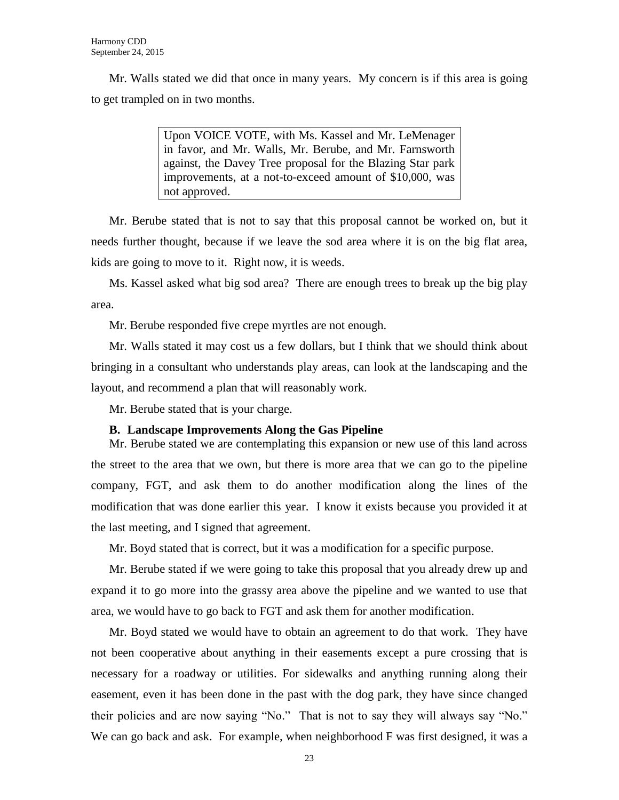Mr. Walls stated we did that once in many years. My concern is if this area is going to get trampled on in two months.

> Upon VOICE VOTE, with Ms. Kassel and Mr. LeMenager in favor, and Mr. Walls, Mr. Berube, and Mr. Farnsworth against, the Davey Tree proposal for the Blazing Star park improvements, at a not-to-exceed amount of \$10,000, was not approved.

Mr. Berube stated that is not to say that this proposal cannot be worked on, but it needs further thought, because if we leave the sod area where it is on the big flat area, kids are going to move to it. Right now, it is weeds.

Ms. Kassel asked what big sod area? There are enough trees to break up the big play area.

Mr. Berube responded five crepe myrtles are not enough.

Mr. Walls stated it may cost us a few dollars, but I think that we should think about bringing in a consultant who understands play areas, can look at the landscaping and the layout, and recommend a plan that will reasonably work.

Mr. Berube stated that is your charge.

#### **B. Landscape Improvements Along the Gas Pipeline**

Mr. Berube stated we are contemplating this expansion or new use of this land across the street to the area that we own, but there is more area that we can go to the pipeline company, FGT, and ask them to do another modification along the lines of the modification that was done earlier this year. I know it exists because you provided it at the last meeting, and I signed that agreement.

Mr. Boyd stated that is correct, but it was a modification for a specific purpose.

Mr. Berube stated if we were going to take this proposal that you already drew up and expand it to go more into the grassy area above the pipeline and we wanted to use that area, we would have to go back to FGT and ask them for another modification.

Mr. Boyd stated we would have to obtain an agreement to do that work. They have not been cooperative about anything in their easements except a pure crossing that is necessary for a roadway or utilities. For sidewalks and anything running along their easement, even it has been done in the past with the dog park, they have since changed their policies and are now saying "No." That is not to say they will always say "No." We can go back and ask. For example, when neighborhood F was first designed, it was a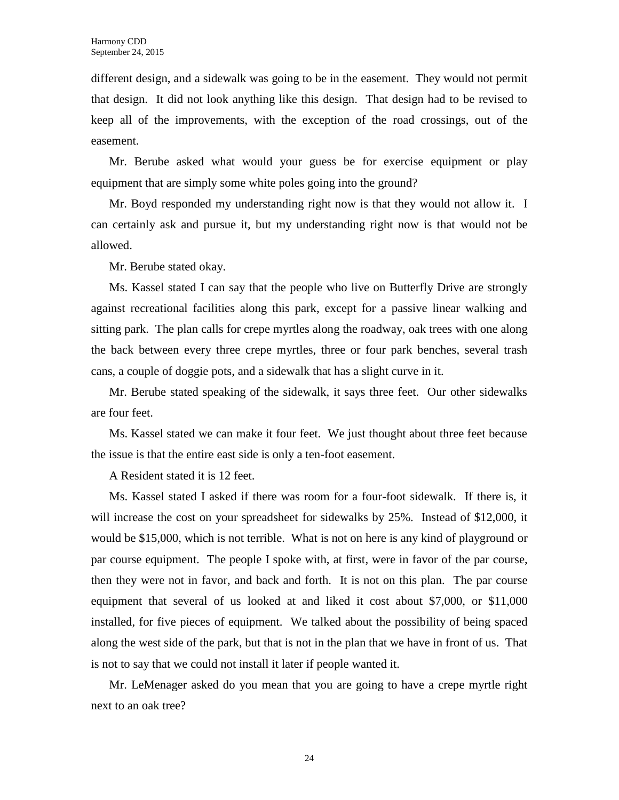different design, and a sidewalk was going to be in the easement. They would not permit that design. It did not look anything like this design. That design had to be revised to keep all of the improvements, with the exception of the road crossings, out of the easement.

Mr. Berube asked what would your guess be for exercise equipment or play equipment that are simply some white poles going into the ground?

Mr. Boyd responded my understanding right now is that they would not allow it. I can certainly ask and pursue it, but my understanding right now is that would not be allowed.

Mr. Berube stated okay.

Ms. Kassel stated I can say that the people who live on Butterfly Drive are strongly against recreational facilities along this park, except for a passive linear walking and sitting park. The plan calls for crepe myrtles along the roadway, oak trees with one along the back between every three crepe myrtles, three or four park benches, several trash cans, a couple of doggie pots, and a sidewalk that has a slight curve in it.

Mr. Berube stated speaking of the sidewalk, it says three feet. Our other sidewalks are four feet.

Ms. Kassel stated we can make it four feet. We just thought about three feet because the issue is that the entire east side is only a ten-foot easement.

A Resident stated it is 12 feet.

Ms. Kassel stated I asked if there was room for a four-foot sidewalk. If there is, it will increase the cost on your spreadsheet for sidewalks by 25%. Instead of \$12,000, it would be \$15,000, which is not terrible. What is not on here is any kind of playground or par course equipment. The people I spoke with, at first, were in favor of the par course, then they were not in favor, and back and forth. It is not on this plan. The par course equipment that several of us looked at and liked it cost about \$7,000, or \$11,000 installed, for five pieces of equipment. We talked about the possibility of being spaced along the west side of the park, but that is not in the plan that we have in front of us. That is not to say that we could not install it later if people wanted it.

Mr. LeMenager asked do you mean that you are going to have a crepe myrtle right next to an oak tree?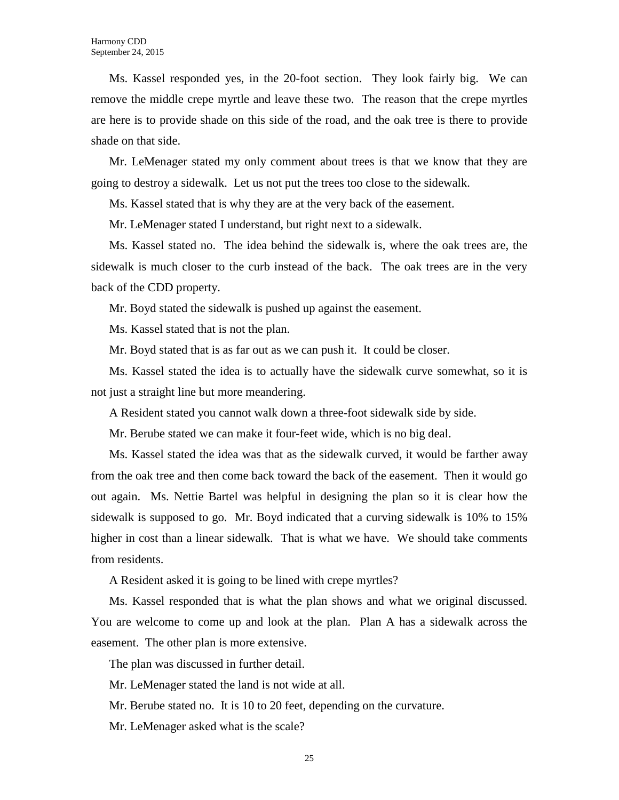Ms. Kassel responded yes, in the 20-foot section. They look fairly big. We can remove the middle crepe myrtle and leave these two. The reason that the crepe myrtles are here is to provide shade on this side of the road, and the oak tree is there to provide shade on that side.

Mr. LeMenager stated my only comment about trees is that we know that they are going to destroy a sidewalk. Let us not put the trees too close to the sidewalk.

Ms. Kassel stated that is why they are at the very back of the easement.

Mr. LeMenager stated I understand, but right next to a sidewalk.

Ms. Kassel stated no. The idea behind the sidewalk is, where the oak trees are, the sidewalk is much closer to the curb instead of the back. The oak trees are in the very back of the CDD property.

Mr. Boyd stated the sidewalk is pushed up against the easement.

Ms. Kassel stated that is not the plan.

Mr. Boyd stated that is as far out as we can push it. It could be closer.

Ms. Kassel stated the idea is to actually have the sidewalk curve somewhat, so it is not just a straight line but more meandering.

A Resident stated you cannot walk down a three-foot sidewalk side by side.

Mr. Berube stated we can make it four-feet wide, which is no big deal.

Ms. Kassel stated the idea was that as the sidewalk curved, it would be farther away from the oak tree and then come back toward the back of the easement. Then it would go out again. Ms. Nettie Bartel was helpful in designing the plan so it is clear how the sidewalk is supposed to go. Mr. Boyd indicated that a curving sidewalk is 10% to 15% higher in cost than a linear sidewalk. That is what we have. We should take comments from residents.

A Resident asked it is going to be lined with crepe myrtles?

Ms. Kassel responded that is what the plan shows and what we original discussed. You are welcome to come up and look at the plan. Plan A has a sidewalk across the easement. The other plan is more extensive.

The plan was discussed in further detail.

Mr. LeMenager stated the land is not wide at all.

Mr. Berube stated no. It is 10 to 20 feet, depending on the curvature.

Mr. LeMenager asked what is the scale?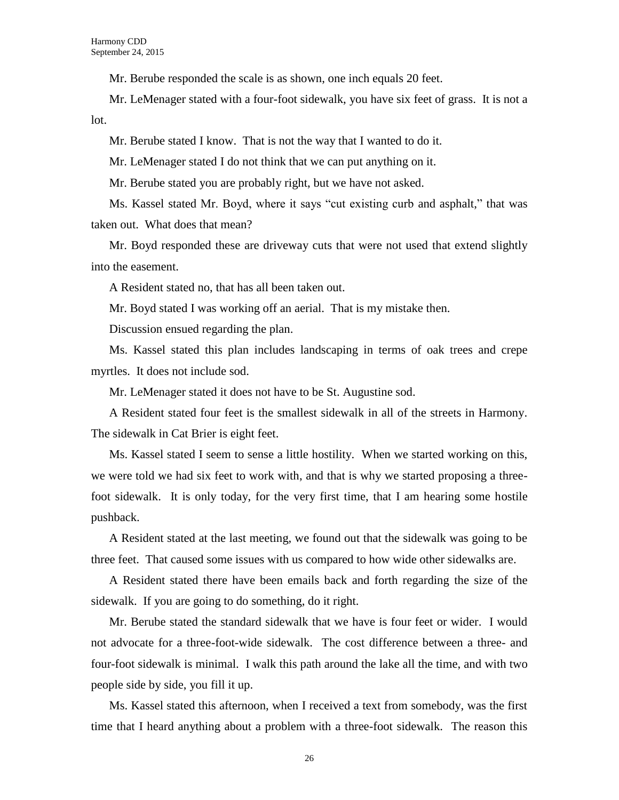Mr. Berube responded the scale is as shown, one inch equals 20 feet.

Mr. LeMenager stated with a four-foot sidewalk, you have six feet of grass. It is not a lot.

Mr. Berube stated I know. That is not the way that I wanted to do it.

Mr. LeMenager stated I do not think that we can put anything on it.

Mr. Berube stated you are probably right, but we have not asked.

Ms. Kassel stated Mr. Boyd, where it says "cut existing curb and asphalt," that was taken out. What does that mean?

Mr. Boyd responded these are driveway cuts that were not used that extend slightly into the easement.

A Resident stated no, that has all been taken out.

Mr. Boyd stated I was working off an aerial. That is my mistake then.

Discussion ensued regarding the plan.

Ms. Kassel stated this plan includes landscaping in terms of oak trees and crepe myrtles. It does not include sod.

Mr. LeMenager stated it does not have to be St. Augustine sod.

A Resident stated four feet is the smallest sidewalk in all of the streets in Harmony. The sidewalk in Cat Brier is eight feet.

Ms. Kassel stated I seem to sense a little hostility. When we started working on this, we were told we had six feet to work with, and that is why we started proposing a threefoot sidewalk. It is only today, for the very first time, that I am hearing some hostile pushback.

A Resident stated at the last meeting, we found out that the sidewalk was going to be three feet. That caused some issues with us compared to how wide other sidewalks are.

A Resident stated there have been emails back and forth regarding the size of the sidewalk. If you are going to do something, do it right.

Mr. Berube stated the standard sidewalk that we have is four feet or wider. I would not advocate for a three-foot-wide sidewalk. The cost difference between a three- and four-foot sidewalk is minimal. I walk this path around the lake all the time, and with two people side by side, you fill it up.

Ms. Kassel stated this afternoon, when I received a text from somebody, was the first time that I heard anything about a problem with a three-foot sidewalk. The reason this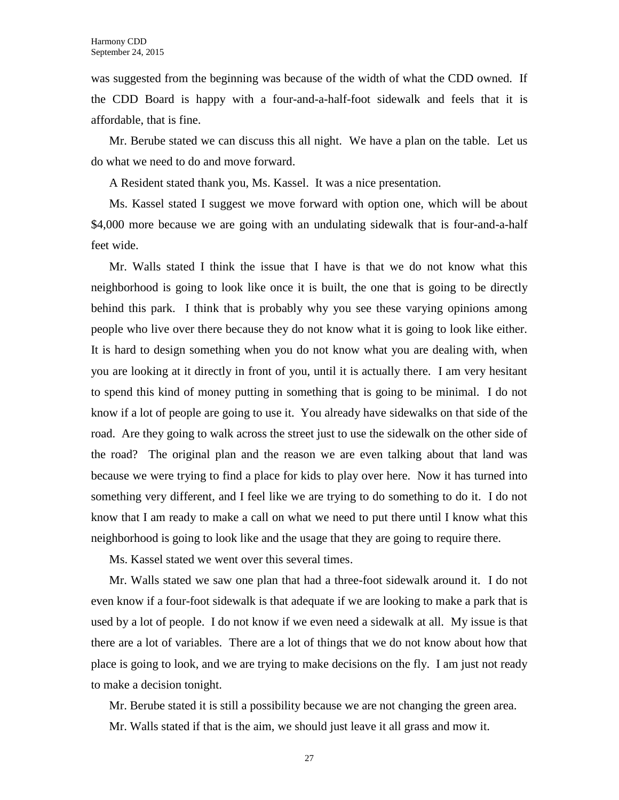was suggested from the beginning was because of the width of what the CDD owned. If the CDD Board is happy with a four-and-a-half-foot sidewalk and feels that it is affordable, that is fine.

Mr. Berube stated we can discuss this all night. We have a plan on the table. Let us do what we need to do and move forward.

A Resident stated thank you, Ms. Kassel. It was a nice presentation.

Ms. Kassel stated I suggest we move forward with option one, which will be about \$4,000 more because we are going with an undulating sidewalk that is four-and-a-half feet wide.

Mr. Walls stated I think the issue that I have is that we do not know what this neighborhood is going to look like once it is built, the one that is going to be directly behind this park. I think that is probably why you see these varying opinions among people who live over there because they do not know what it is going to look like either. It is hard to design something when you do not know what you are dealing with, when you are looking at it directly in front of you, until it is actually there. I am very hesitant to spend this kind of money putting in something that is going to be minimal. I do not know if a lot of people are going to use it. You already have sidewalks on that side of the road. Are they going to walk across the street just to use the sidewalk on the other side of the road? The original plan and the reason we are even talking about that land was because we were trying to find a place for kids to play over here. Now it has turned into something very different, and I feel like we are trying to do something to do it. I do not know that I am ready to make a call on what we need to put there until I know what this neighborhood is going to look like and the usage that they are going to require there.

Ms. Kassel stated we went over this several times.

Mr. Walls stated we saw one plan that had a three-foot sidewalk around it. I do not even know if a four-foot sidewalk is that adequate if we are looking to make a park that is used by a lot of people. I do not know if we even need a sidewalk at all. My issue is that there are a lot of variables. There are a lot of things that we do not know about how that place is going to look, and we are trying to make decisions on the fly. I am just not ready to make a decision tonight.

Mr. Berube stated it is still a possibility because we are not changing the green area. Mr. Walls stated if that is the aim, we should just leave it all grass and mow it.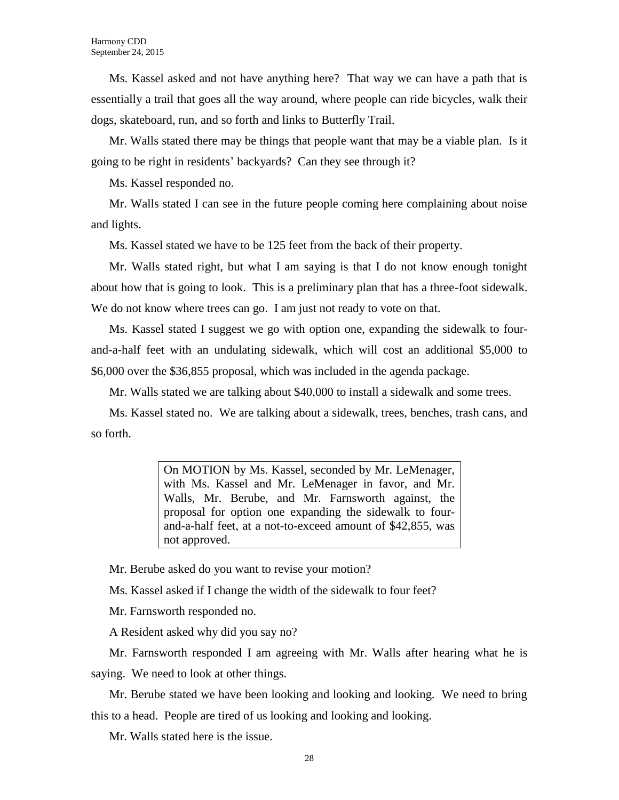Ms. Kassel asked and not have anything here? That way we can have a path that is essentially a trail that goes all the way around, where people can ride bicycles, walk their dogs, skateboard, run, and so forth and links to Butterfly Trail.

Mr. Walls stated there may be things that people want that may be a viable plan. Is it going to be right in residents' backyards? Can they see through it?

Ms. Kassel responded no.

Mr. Walls stated I can see in the future people coming here complaining about noise and lights.

Ms. Kassel stated we have to be 125 feet from the back of their property.

Mr. Walls stated right, but what I am saying is that I do not know enough tonight about how that is going to look. This is a preliminary plan that has a three-foot sidewalk. We do not know where trees can go. I am just not ready to vote on that.

Ms. Kassel stated I suggest we go with option one, expanding the sidewalk to fourand-a-half feet with an undulating sidewalk, which will cost an additional \$5,000 to \$6,000 over the \$36,855 proposal, which was included in the agenda package.

Mr. Walls stated we are talking about \$40,000 to install a sidewalk and some trees.

Ms. Kassel stated no. We are talking about a sidewalk, trees, benches, trash cans, and so forth.

> On MOTION by Ms. Kassel, seconded by Mr. LeMenager, with Ms. Kassel and Mr. LeMenager in favor, and Mr. Walls, Mr. Berube, and Mr. Farnsworth against, the proposal for option one expanding the sidewalk to fourand-a-half feet, at a not-to-exceed amount of \$42,855, was not approved.

Mr. Berube asked do you want to revise your motion?

Ms. Kassel asked if I change the width of the sidewalk to four feet?

Mr. Farnsworth responded no.

A Resident asked why did you say no?

Mr. Farnsworth responded I am agreeing with Mr. Walls after hearing what he is saying. We need to look at other things.

Mr. Berube stated we have been looking and looking and looking. We need to bring this to a head. People are tired of us looking and looking and looking.

Mr. Walls stated here is the issue.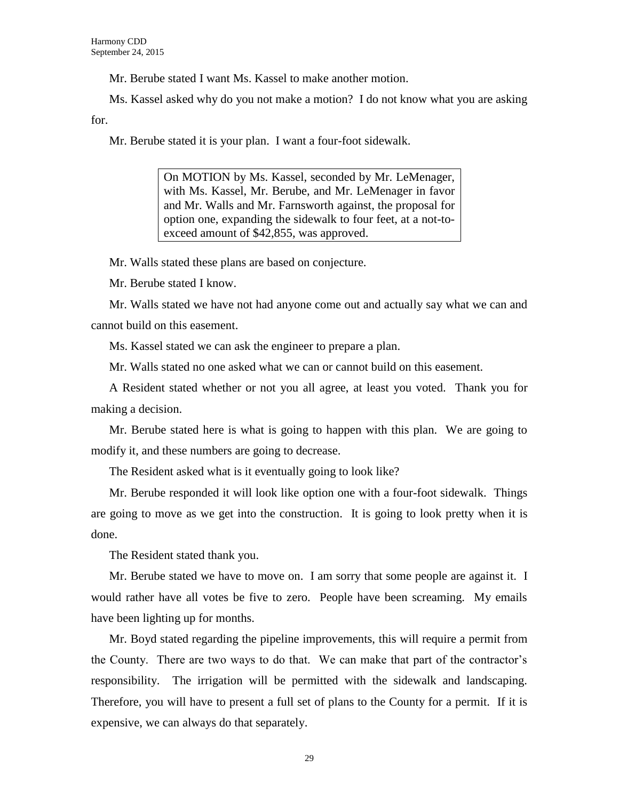Mr. Berube stated I want Ms. Kassel to make another motion.

Ms. Kassel asked why do you not make a motion? I do not know what you are asking for.

Mr. Berube stated it is your plan. I want a four-foot sidewalk.

On MOTION by Ms. Kassel, seconded by Mr. LeMenager, with Ms. Kassel, Mr. Berube, and Mr. LeMenager in favor and Mr. Walls and Mr. Farnsworth against, the proposal for option one, expanding the sidewalk to four feet, at a not-toexceed amount of \$42,855, was approved.

Mr. Walls stated these plans are based on conjecture.

Mr. Berube stated I know.

Mr. Walls stated we have not had anyone come out and actually say what we can and cannot build on this easement.

Ms. Kassel stated we can ask the engineer to prepare a plan.

Mr. Walls stated no one asked what we can or cannot build on this easement.

A Resident stated whether or not you all agree, at least you voted. Thank you for making a decision.

Mr. Berube stated here is what is going to happen with this plan. We are going to modify it, and these numbers are going to decrease.

The Resident asked what is it eventually going to look like?

Mr. Berube responded it will look like option one with a four-foot sidewalk. Things are going to move as we get into the construction. It is going to look pretty when it is done.

The Resident stated thank you.

Mr. Berube stated we have to move on. I am sorry that some people are against it. I would rather have all votes be five to zero. People have been screaming. My emails have been lighting up for months.

Mr. Boyd stated regarding the pipeline improvements, this will require a permit from the County. There are two ways to do that. We can make that part of the contractor's responsibility. The irrigation will be permitted with the sidewalk and landscaping. Therefore, you will have to present a full set of plans to the County for a permit. If it is expensive, we can always do that separately.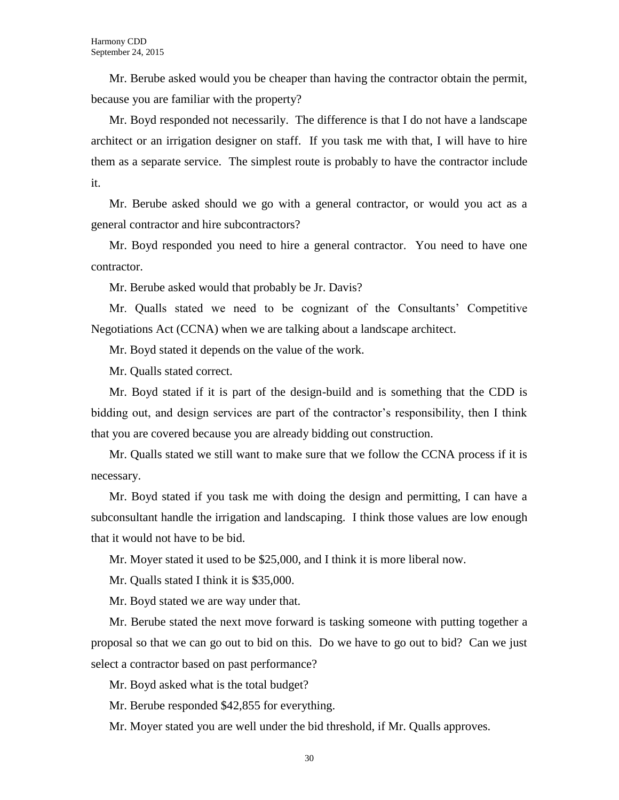Mr. Berube asked would you be cheaper than having the contractor obtain the permit, because you are familiar with the property?

Mr. Boyd responded not necessarily. The difference is that I do not have a landscape architect or an irrigation designer on staff. If you task me with that, I will have to hire them as a separate service. The simplest route is probably to have the contractor include it.

Mr. Berube asked should we go with a general contractor, or would you act as a general contractor and hire subcontractors?

Mr. Boyd responded you need to hire a general contractor. You need to have one contractor.

Mr. Berube asked would that probably be Jr. Davis?

Mr. Qualls stated we need to be cognizant of the Consultants' Competitive Negotiations Act (CCNA) when we are talking about a landscape architect.

Mr. Boyd stated it depends on the value of the work.

Mr. Qualls stated correct.

Mr. Boyd stated if it is part of the design-build and is something that the CDD is bidding out, and design services are part of the contractor's responsibility, then I think that you are covered because you are already bidding out construction.

Mr. Qualls stated we still want to make sure that we follow the CCNA process if it is necessary.

Mr. Boyd stated if you task me with doing the design and permitting, I can have a subconsultant handle the irrigation and landscaping. I think those values are low enough that it would not have to be bid.

Mr. Moyer stated it used to be \$25,000, and I think it is more liberal now.

Mr. Qualls stated I think it is \$35,000.

Mr. Boyd stated we are way under that.

Mr. Berube stated the next move forward is tasking someone with putting together a proposal so that we can go out to bid on this. Do we have to go out to bid? Can we just select a contractor based on past performance?

Mr. Boyd asked what is the total budget?

Mr. Berube responded \$42,855 for everything.

Mr. Moyer stated you are well under the bid threshold, if Mr. Qualls approves.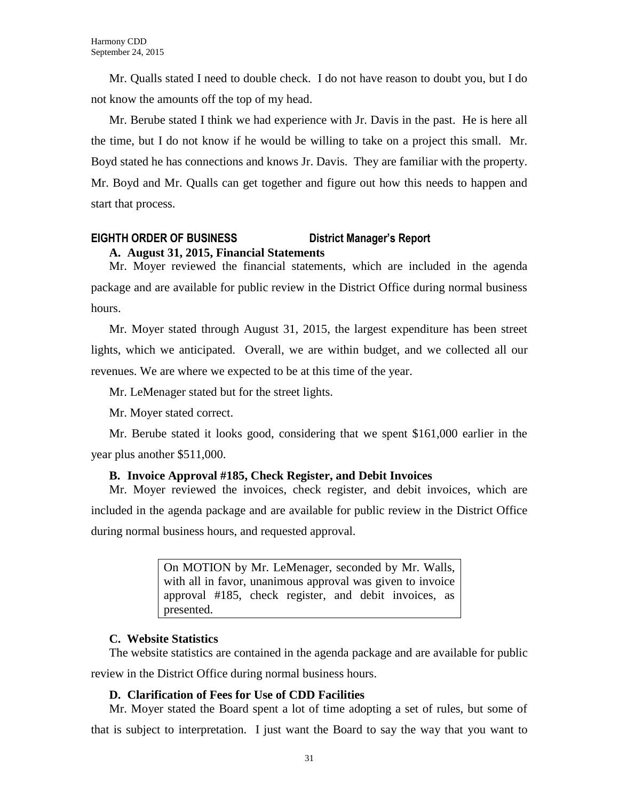Mr. Qualls stated I need to double check. I do not have reason to doubt you, but I do not know the amounts off the top of my head.

Mr. Berube stated I think we had experience with Jr. Davis in the past. He is here all the time, but I do not know if he would be willing to take on a project this small. Mr. Boyd stated he has connections and knows Jr. Davis. They are familiar with the property. Mr. Boyd and Mr. Qualls can get together and figure out how this needs to happen and start that process.

# **EIGHTH ORDER OF BUSINESS District Manager's Report A. August 31, 2015, Financial Statements**

Mr. Moyer reviewed the financial statements, which are included in the agenda package and are available for public review in the District Office during normal business hours.

Mr. Moyer stated through August 31, 2015, the largest expenditure has been street lights, which we anticipated. Overall, we are within budget, and we collected all our revenues. We are where we expected to be at this time of the year.

Mr. LeMenager stated but for the street lights.

Mr. Moyer stated correct.

Mr. Berube stated it looks good, considering that we spent \$161,000 earlier in the year plus another \$511,000.

# **B. Invoice Approval #185, Check Register, and Debit Invoices**

Mr. Moyer reviewed the invoices, check register, and debit invoices, which are included in the agenda package and are available for public review in the District Office during normal business hours, and requested approval.

> On MOTION by Mr. LeMenager, seconded by Mr. Walls, with all in favor, unanimous approval was given to invoice approval #185, check register, and debit invoices, as presented.

# **C. Website Statistics**

The website statistics are contained in the agenda package and are available for public review in the District Office during normal business hours.

# **D. Clarification of Fees for Use of CDD Facilities**

Mr. Moyer stated the Board spent a lot of time adopting a set of rules, but some of that is subject to interpretation. I just want the Board to say the way that you want to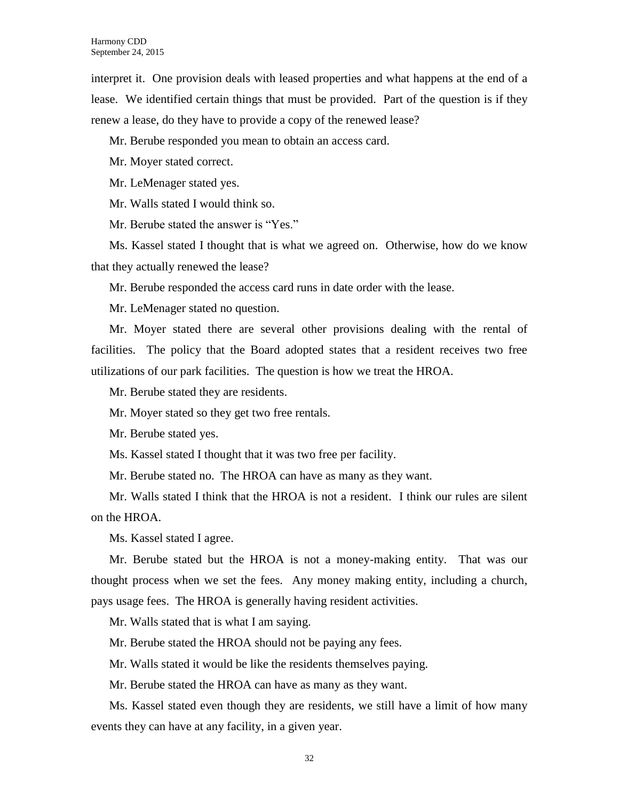interpret it. One provision deals with leased properties and what happens at the end of a lease. We identified certain things that must be provided. Part of the question is if they renew a lease, do they have to provide a copy of the renewed lease?

Mr. Berube responded you mean to obtain an access card.

Mr. Moyer stated correct.

Mr. LeMenager stated yes.

Mr. Walls stated I would think so.

Mr. Berube stated the answer is "Yes."

Ms. Kassel stated I thought that is what we agreed on. Otherwise, how do we know that they actually renewed the lease?

Mr. Berube responded the access card runs in date order with the lease.

Mr. LeMenager stated no question.

Mr. Moyer stated there are several other provisions dealing with the rental of facilities. The policy that the Board adopted states that a resident receives two free utilizations of our park facilities. The question is how we treat the HROA.

Mr. Berube stated they are residents.

Mr. Moyer stated so they get two free rentals.

Mr. Berube stated yes.

Ms. Kassel stated I thought that it was two free per facility.

Mr. Berube stated no. The HROA can have as many as they want.

Mr. Walls stated I think that the HROA is not a resident. I think our rules are silent on the HROA.

Ms. Kassel stated I agree.

Mr. Berube stated but the HROA is not a money-making entity. That was our thought process when we set the fees. Any money making entity, including a church, pays usage fees. The HROA is generally having resident activities.

Mr. Walls stated that is what I am saying.

Mr. Berube stated the HROA should not be paying any fees.

Mr. Walls stated it would be like the residents themselves paying.

Mr. Berube stated the HROA can have as many as they want.

Ms. Kassel stated even though they are residents, we still have a limit of how many events they can have at any facility, in a given year.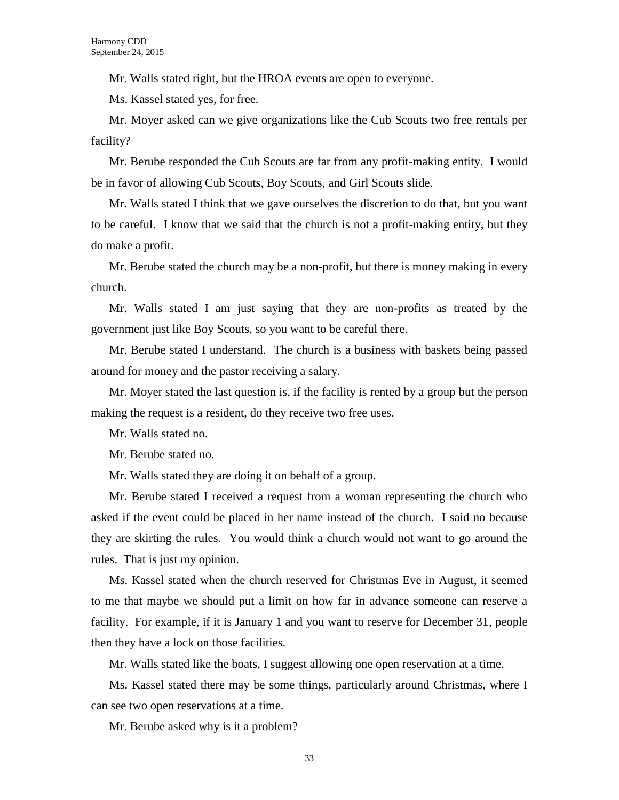Mr. Walls stated right, but the HROA events are open to everyone.

Ms. Kassel stated yes, for free.

Mr. Moyer asked can we give organizations like the Cub Scouts two free rentals per facility?

Mr. Berube responded the Cub Scouts are far from any profit-making entity. I would be in favor of allowing Cub Scouts, Boy Scouts, and Girl Scouts slide.

Mr. Walls stated I think that we gave ourselves the discretion to do that, but you want to be careful. I know that we said that the church is not a profit-making entity, but they do make a profit.

Mr. Berube stated the church may be a non-profit, but there is money making in every church.

Mr. Walls stated I am just saying that they are non-profits as treated by the government just like Boy Scouts, so you want to be careful there.

Mr. Berube stated I understand. The church is a business with baskets being passed around for money and the pastor receiving a salary.

Mr. Moyer stated the last question is, if the facility is rented by a group but the person making the request is a resident, do they receive two free uses.

Mr. Walls stated no.

Mr. Berube stated no.

Mr. Walls stated they are doing it on behalf of a group.

Mr. Berube stated I received a request from a woman representing the church who asked if the event could be placed in her name instead of the church. I said no because they are skirting the rules. You would think a church would not want to go around the rules. That is just my opinion.

Ms. Kassel stated when the church reserved for Christmas Eve in August, it seemed to me that maybe we should put a limit on how far in advance someone can reserve a facility. For example, if it is January 1 and you want to reserve for December 31, people then they have a lock on those facilities.

Mr. Walls stated like the boats, I suggest allowing one open reservation at a time.

Ms. Kassel stated there may be some things, particularly around Christmas, where I can see two open reservations at a time.

Mr. Berube asked why is it a problem?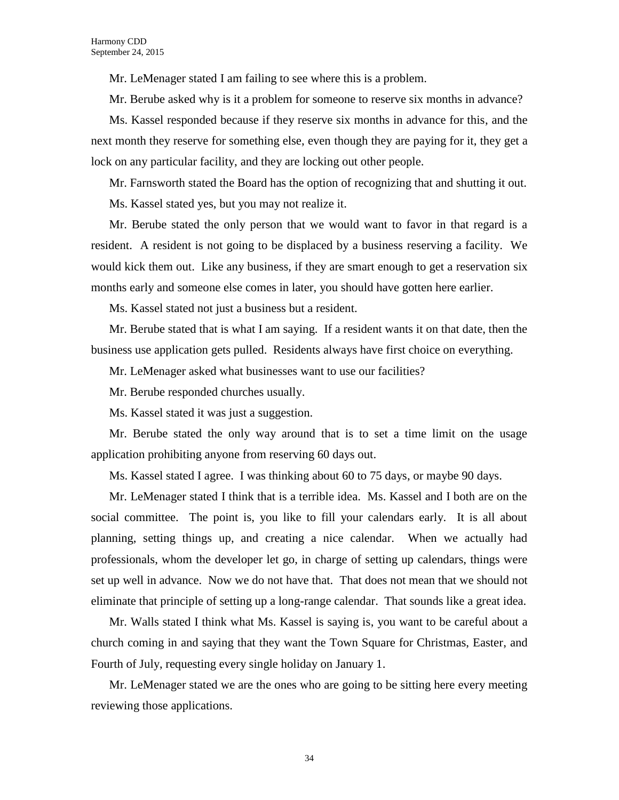Mr. LeMenager stated I am failing to see where this is a problem.

Mr. Berube asked why is it a problem for someone to reserve six months in advance?

Ms. Kassel responded because if they reserve six months in advance for this, and the next month they reserve for something else, even though they are paying for it, they get a lock on any particular facility, and they are locking out other people.

Mr. Farnsworth stated the Board has the option of recognizing that and shutting it out.

Ms. Kassel stated yes, but you may not realize it.

Mr. Berube stated the only person that we would want to favor in that regard is a resident. A resident is not going to be displaced by a business reserving a facility. We would kick them out. Like any business, if they are smart enough to get a reservation six months early and someone else comes in later, you should have gotten here earlier.

Ms. Kassel stated not just a business but a resident.

Mr. Berube stated that is what I am saying. If a resident wants it on that date, then the business use application gets pulled. Residents always have first choice on everything.

Mr. LeMenager asked what businesses want to use our facilities?

Mr. Berube responded churches usually.

Ms. Kassel stated it was just a suggestion.

Mr. Berube stated the only way around that is to set a time limit on the usage application prohibiting anyone from reserving 60 days out.

Ms. Kassel stated I agree. I was thinking about 60 to 75 days, or maybe 90 days.

Mr. LeMenager stated I think that is a terrible idea. Ms. Kassel and I both are on the social committee. The point is, you like to fill your calendars early. It is all about planning, setting things up, and creating a nice calendar. When we actually had professionals, whom the developer let go, in charge of setting up calendars, things were set up well in advance. Now we do not have that. That does not mean that we should not eliminate that principle of setting up a long-range calendar. That sounds like a great idea.

Mr. Walls stated I think what Ms. Kassel is saying is, you want to be careful about a church coming in and saying that they want the Town Square for Christmas, Easter, and Fourth of July, requesting every single holiday on January 1.

Mr. LeMenager stated we are the ones who are going to be sitting here every meeting reviewing those applications.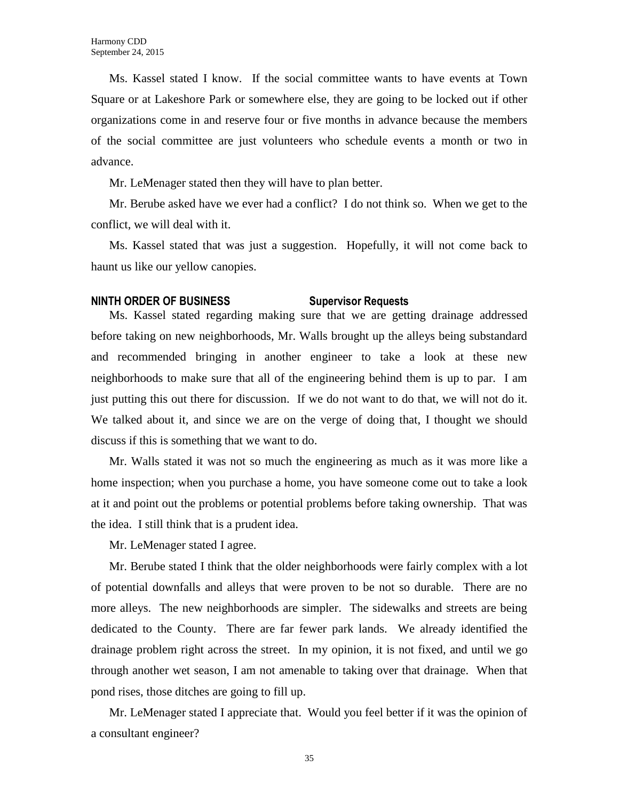Ms. Kassel stated I know. If the social committee wants to have events at Town Square or at Lakeshore Park or somewhere else, they are going to be locked out if other organizations come in and reserve four or five months in advance because the members of the social committee are just volunteers who schedule events a month or two in advance.

Mr. LeMenager stated then they will have to plan better.

Mr. Berube asked have we ever had a conflict? I do not think so. When we get to the conflict, we will deal with it.

Ms. Kassel stated that was just a suggestion. Hopefully, it will not come back to haunt us like our yellow canopies.

### **NINTH ORDER OF BUSINESS Supervisor Requests**

Ms. Kassel stated regarding making sure that we are getting drainage addressed before taking on new neighborhoods, Mr. Walls brought up the alleys being substandard and recommended bringing in another engineer to take a look at these new neighborhoods to make sure that all of the engineering behind them is up to par. I am just putting this out there for discussion. If we do not want to do that, we will not do it. We talked about it, and since we are on the verge of doing that, I thought we should discuss if this is something that we want to do.

Mr. Walls stated it was not so much the engineering as much as it was more like a home inspection; when you purchase a home, you have someone come out to take a look at it and point out the problems or potential problems before taking ownership. That was the idea. I still think that is a prudent idea.

Mr. LeMenager stated I agree.

Mr. Berube stated I think that the older neighborhoods were fairly complex with a lot of potential downfalls and alleys that were proven to be not so durable. There are no more alleys. The new neighborhoods are simpler. The sidewalks and streets are being dedicated to the County. There are far fewer park lands. We already identified the drainage problem right across the street. In my opinion, it is not fixed, and until we go through another wet season, I am not amenable to taking over that drainage. When that pond rises, those ditches are going to fill up.

Mr. LeMenager stated I appreciate that. Would you feel better if it was the opinion of a consultant engineer?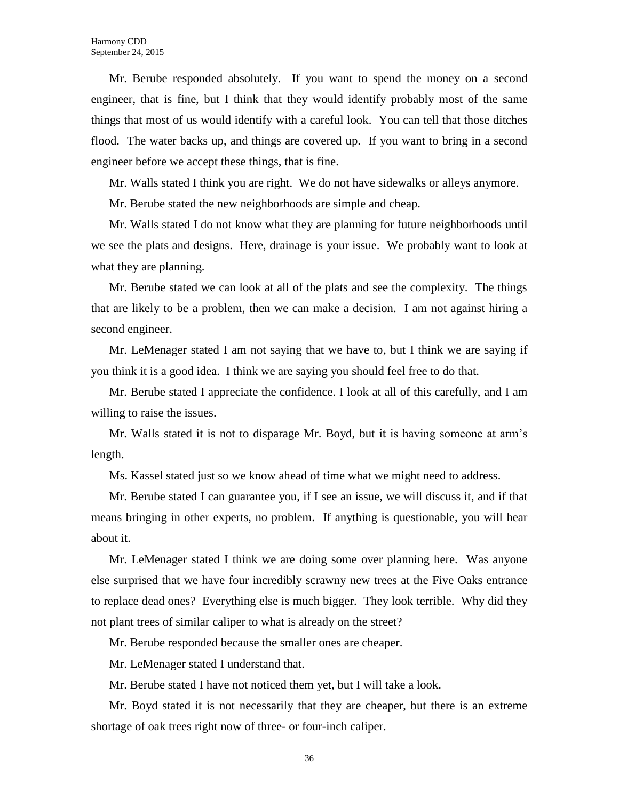Mr. Berube responded absolutely. If you want to spend the money on a second engineer, that is fine, but I think that they would identify probably most of the same things that most of us would identify with a careful look. You can tell that those ditches flood. The water backs up, and things are covered up. If you want to bring in a second engineer before we accept these things, that is fine.

Mr. Walls stated I think you are right. We do not have sidewalks or alleys anymore.

Mr. Berube stated the new neighborhoods are simple and cheap.

Mr. Walls stated I do not know what they are planning for future neighborhoods until we see the plats and designs. Here, drainage is your issue. We probably want to look at what they are planning.

Mr. Berube stated we can look at all of the plats and see the complexity. The things that are likely to be a problem, then we can make a decision. I am not against hiring a second engineer.

Mr. LeMenager stated I am not saying that we have to, but I think we are saying if you think it is a good idea. I think we are saying you should feel free to do that.

Mr. Berube stated I appreciate the confidence. I look at all of this carefully, and I am willing to raise the issues.

Mr. Walls stated it is not to disparage Mr. Boyd, but it is having someone at arm's length.

Ms. Kassel stated just so we know ahead of time what we might need to address.

Mr. Berube stated I can guarantee you, if I see an issue, we will discuss it, and if that means bringing in other experts, no problem. If anything is questionable, you will hear about it.

Mr. LeMenager stated I think we are doing some over planning here. Was anyone else surprised that we have four incredibly scrawny new trees at the Five Oaks entrance to replace dead ones? Everything else is much bigger. They look terrible. Why did they not plant trees of similar caliper to what is already on the street?

Mr. Berube responded because the smaller ones are cheaper.

Mr. LeMenager stated I understand that.

Mr. Berube stated I have not noticed them yet, but I will take a look.

Mr. Boyd stated it is not necessarily that they are cheaper, but there is an extreme shortage of oak trees right now of three- or four-inch caliper.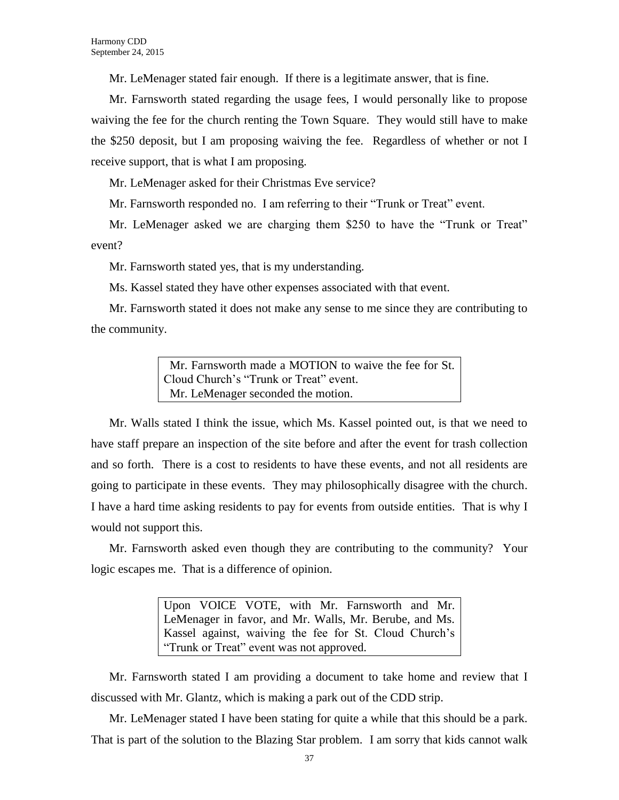Mr. LeMenager stated fair enough. If there is a legitimate answer, that is fine.

Mr. Farnsworth stated regarding the usage fees, I would personally like to propose waiving the fee for the church renting the Town Square. They would still have to make the \$250 deposit, but I am proposing waiving the fee. Regardless of whether or not I receive support, that is what I am proposing.

Mr. LeMenager asked for their Christmas Eve service?

Mr. Farnsworth responded no. I am referring to their "Trunk or Treat" event.

Mr. LeMenager asked we are charging them \$250 to have the "Trunk or Treat" event?

Mr. Farnsworth stated yes, that is my understanding.

Ms. Kassel stated they have other expenses associated with that event.

Mr. Farnsworth stated it does not make any sense to me since they are contributing to the community.

> Mr. Farnsworth made a MOTION to waive the fee for St. Cloud Church's "Trunk or Treat" event. Mr. LeMenager seconded the motion.

Mr. Walls stated I think the issue, which Ms. Kassel pointed out, is that we need to have staff prepare an inspection of the site before and after the event for trash collection and so forth. There is a cost to residents to have these events, and not all residents are going to participate in these events. They may philosophically disagree with the church. I have a hard time asking residents to pay for events from outside entities. That is why I would not support this.

Mr. Farnsworth asked even though they are contributing to the community? Your logic escapes me. That is a difference of opinion.

> Upon VOICE VOTE, with Mr. Farnsworth and Mr. LeMenager in favor, and Mr. Walls, Mr. Berube, and Ms. Kassel against, waiving the fee for St. Cloud Church's "Trunk or Treat" event was not approved.

Mr. Farnsworth stated I am providing a document to take home and review that I discussed with Mr. Glantz, which is making a park out of the CDD strip.

Mr. LeMenager stated I have been stating for quite a while that this should be a park. That is part of the solution to the Blazing Star problem. I am sorry that kids cannot walk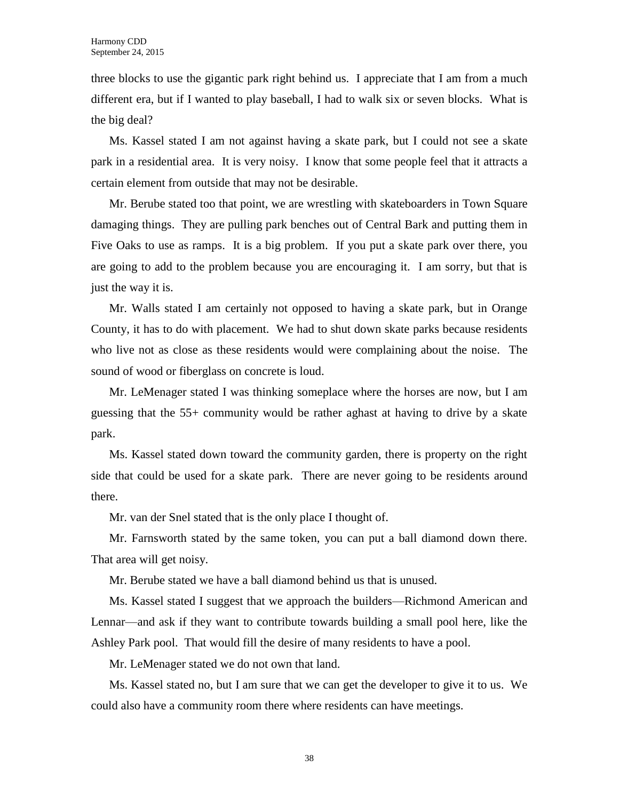three blocks to use the gigantic park right behind us. I appreciate that I am from a much different era, but if I wanted to play baseball, I had to walk six or seven blocks. What is the big deal?

Ms. Kassel stated I am not against having a skate park, but I could not see a skate park in a residential area. It is very noisy. I know that some people feel that it attracts a certain element from outside that may not be desirable.

Mr. Berube stated too that point, we are wrestling with skateboarders in Town Square damaging things. They are pulling park benches out of Central Bark and putting them in Five Oaks to use as ramps. It is a big problem. If you put a skate park over there, you are going to add to the problem because you are encouraging it. I am sorry, but that is just the way it is.

Mr. Walls stated I am certainly not opposed to having a skate park, but in Orange County, it has to do with placement. We had to shut down skate parks because residents who live not as close as these residents would were complaining about the noise. The sound of wood or fiberglass on concrete is loud.

Mr. LeMenager stated I was thinking someplace where the horses are now, but I am guessing that the 55+ community would be rather aghast at having to drive by a skate park.

Ms. Kassel stated down toward the community garden, there is property on the right side that could be used for a skate park. There are never going to be residents around there.

Mr. van der Snel stated that is the only place I thought of.

Mr. Farnsworth stated by the same token, you can put a ball diamond down there. That area will get noisy.

Mr. Berube stated we have a ball diamond behind us that is unused.

Ms. Kassel stated I suggest that we approach the builders—Richmond American and Lennar—and ask if they want to contribute towards building a small pool here, like the Ashley Park pool. That would fill the desire of many residents to have a pool.

Mr. LeMenager stated we do not own that land.

Ms. Kassel stated no, but I am sure that we can get the developer to give it to us. We could also have a community room there where residents can have meetings.